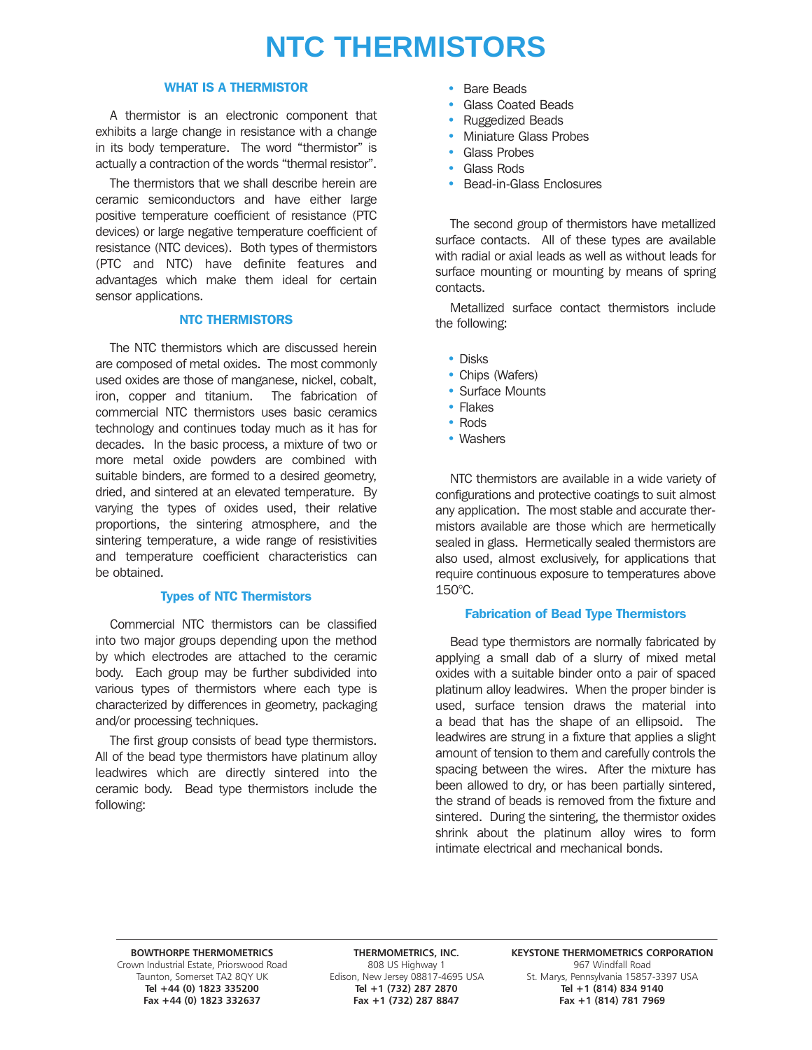# **NTC THERMISTORS**

### WHAT IS A THERMISTOR

A thermistor is an electronic component that exhibits a large change in resistance with a change in its body temperature. The word "thermistor" is actually a contraction of the words "thermal resistor".

The thermistors that we shall describe herein are ceramic semiconductors and have either large positive temperature coefficient of resistance (PTC devices) or large negative temperature coefficient of resistance (NTC devices). Both types of thermistors (PTC and NTC) have definite features and advantages which make them ideal for certain sensor applications.

### NTC THERMISTORS

The NTC thermistors which are discussed herein are composed of metal oxides. The most commonly used oxides are those of manganese, nickel, cobalt, iron, copper and titanium. The fabrication of commercial NTC thermistors uses basic ceramics technology and continues today much as it has for decades. In the basic process, a mixture of two or more metal oxide powders are combined with suitable binders, are formed to a desired geometry, dried, and sintered at an elevated temperature. By varying the types of oxides used, their relative proportions, the sintering atmosphere, and the sintering temperature, a wide range of resistivities and temperature coefficient characteristics can be obtained.

### Types of NTC Thermistors

Commercial NTC thermistors can be classified into two major groups depending upon the method by which electrodes are attached to the ceramic body. Each group may be further subdivided into various types of thermistors where each type is characterized by differences in geometry, packaging and/or processing techniques.

The first group consists of bead type thermistors. All of the bead type thermistors have platinum alloy leadwires which are directly sintered into the ceramic body. Bead type thermistors include the following:

- Bare Beads
- Glass Coated Beads
- Ruggedized Beads
- Miniature Glass Probes
- Glass Probes
- Glass Rods
- Bead-in-Glass Enclosures

The second group of thermistors have metallized surface contacts. All of these types are available with radial or axial leads as well as without leads for surface mounting or mounting by means of spring contacts.

Metallized surface contact thermistors include the following:

- Disks
- Chips (Wafers)
- Surface Mounts
- Flakes
- Rods
- Washers

NTC thermistors are available in a wide variety of configurations and protective coatings to suit almost any application. The most stable and accurate thermistors available are those which are hermetically sealed in glass. Hermetically sealed thermistors are also used, almost exclusively, for applications that require continuous exposure to temperatures above 150°C.

### Fabrication of Bead Type Thermistors

Bead type thermistors are normally fabricated by applying a small dab of a slurry of mixed metal oxides with a suitable binder onto a pair of spaced platinum alloy leadwires. When the proper binder is used, surface tension draws the material into a bead that has the shape of an ellipsoid. The leadwires are strung in a fixture that applies a slight amount of tension to them and carefully controls the spacing between the wires. After the mixture has been allowed to dry, or has been partially sintered, the strand of beads is removed from the fixture and sintered. During the sintering, the thermistor oxides shrink about the platinum alloy wires to form intimate electrical and mechanical bonds.

Fax +44 (0) 1823 332637

BOWTHORPE THERMOMETRICS **THERMOMETRICS, INC.** KEYSTONE THERMOMETRICS CORPORATION Crown Industrial Estate, Priorswood Road 808 US Highway 1 808 US Highway 1 967 Windfall Road 967 Windfall Road<br>Taunton, Somerset TA2 8QY UK 800 Edison, New Jersey 08817-4695 USA 5t. Marys, Pennsylvania 15857-3397 USA unton, Somerset TA2 8QY UK Edison, New Jersey 08817-4695 USA St. Marys, Pennsylvania 15857-33<br>19140 Tel +44 (0) 1823 335200 Tel +1 (732) 287 2870 **Tel +1 (732) 287 2870** Tel +1 (814) 834 9140<br>Fax +1 (732) 287 8847 Fax +1 (814) 781 7969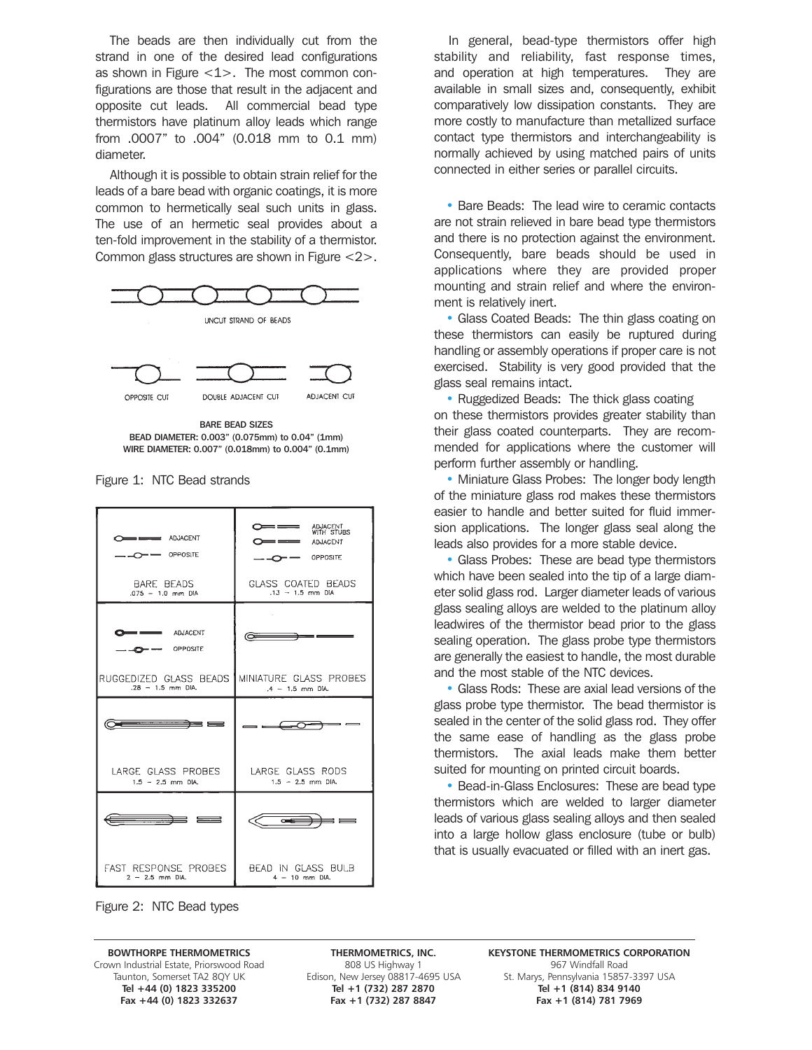The beads are then individually cut from the strand in one of the desired lead configurations as shown in Figure  $<$  1 $>$ . The most common configurations are those that result in the adjacent and opposite cut leads. All commercial bead type thermistors have platinum alloy leads which range from .0007" to .004" (0.018 mm to 0.1 mm) diameter.

Although it is possible to obtain strain relief for the leads of a bare bead with organic coatings, it is more common to hermetically seal such units in glass. The use of an hermetic seal provides about a ten-fold improvement in the stability of a thermistor. Common glass structures are shown in Figure <2>.



BARE BEAD SIZES BEAD DIAMETER: 0.003" (0.075mm) to 0.04" (1mm) WIRE DIAMETER: 0.007" (0.018mm) to 0.004" (0.1mm)

Figure 1: NTC Bead strands



In general, bead-type thermistors offer high stability and reliability, fast response times, and operation at high temperatures. They are available in small sizes and, consequently, exhibit comparatively low dissipation constants. They are more costly to manufacture than metallized surface contact type thermistors and interchangeability is normally achieved by using matched pairs of units connected in either series or parallel circuits.

• Bare Beads: The lead wire to ceramic contacts are not strain relieved in bare bead type thermistors and there is no protection against the environment. Consequently, bare beads should be used in applications where they are provided proper mounting and strain relief and where the environment is relatively inert.

• Glass Coated Beads: The thin glass coating on these thermistors can easily be ruptured during handling or assembly operations if proper care is not exercised. Stability is very good provided that the glass seal remains intact.

• Ruggedized Beads: The thick glass coating on these thermistors provides greater stability than their glass coated counterparts. They are recommended for applications where the customer will perform further assembly or handling.

• Miniature Glass Probes: The longer body length of the miniature glass rod makes these thermistors easier to handle and better suited for fluid immersion applications. The longer glass seal along the leads also provides for a more stable device.

• Glass Probes: These are bead type thermistors which have been sealed into the tip of a large diameter solid glass rod. Larger diameter leads of various glass sealing alloys are welded to the platinum alloy leadwires of the thermistor bead prior to the glass sealing operation. The glass probe type thermistors are generally the easiest to handle, the most durable and the most stable of the NTC devices.

• Glass Rods: These are axial lead versions of the glass probe type thermistor. The bead thermistor is sealed in the center of the solid glass rod. They offer the same ease of handling as the glass probe thermistors. The axial leads make them better suited for mounting on printed circuit boards.

• Bead-in-Glass Enclosures: These are bead type thermistors which are welded to larger diameter leads of various glass sealing alloys and then sealed into a large hollow glass enclosure (tube or bulb) that is usually evacuated or filled with an inert gas.

Figure 2: NTC Bead types

Grown Industrial Estate, Priorswood Road 808 US Highway 1 967 Windfall Road 808 US Highway 1 967 Windfall Road<br>Taunton, Somerset TA2 8QY UK Edison, New Jersey 08817-4695 USA 5t. Marys, Pennsylvania 15857 Fax +44 (0) 1823 332637

**Tel +44 (0) 1823 335200 Tel +1 (732) 287 2870 Tel +1 (814) 834 9140**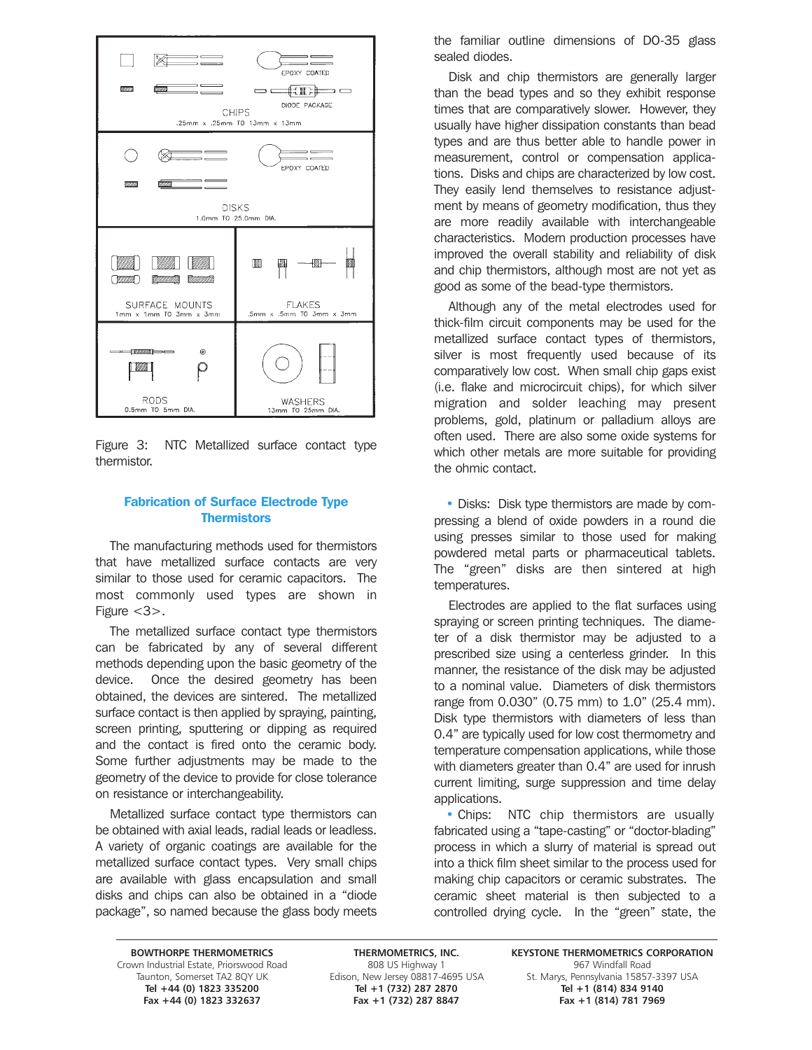

Figure 3: NTC Metallized surface contact type thermistor.

### Fabrication of Surface Electrode Type **Thermistors**

The manufacturing methods used for thermistors that have metallized surface contacts are very similar to those used for ceramic capacitors. The most commonly used types are shown in Figure <3>.

The metallized surface contact type thermistors can be fabricated by any of several different methods depending upon the basic geometry of the device. Once the desired geometry has been obtained, the devices are sintered. The metallized surface contact is then applied by spraying, painting, screen printing, sputtering or dipping as required and the contact is fired onto the ceramic body. Some further adjustments may be made to the geometry of the device to provide for close tolerance on resistance or interchangeability.

Metallized surface contact type thermistors can be obtained with axial leads, radial leads or leadless. A variety of organic coatings are available for the metallized surface contact types. Very small chips are available with glass encapsulation and small disks and chips can also be obtained in a "diode package", so named because the glass body meets the familiar outline dimensions of DO-35 glass sealed diodes.

Disk and chip thermistors are generally larger than the bead types and so they exhibit response times that are comparatively slower. However, they usually have higher dissipation constants than bead types and are thus better able to handle power in measurement, control or compensation applications. Disks and chips are characterized by low cost. They easily lend themselves to resistance adjustment by means of geometry modification, thus they are more readily available with interchangeable characteristics. Modern production processes have improved the overall stability and reliability of disk and chip thermistors, although most are not yet as good as some of the bead-type thermistors.

Although any of the metal electrodes used for thick-film circuit components may be used for the metallized surface contact types of thermistors, silver is most frequently used because of its comparatively low cost. When small chip gaps exist (i.e. flake and microcircuit chips), for which silver migration and solder leaching may present problems, gold, platinum or palladium alloys are often used. There are also some oxide systems for which other metals are more suitable for providing the ohmic contact.

• Disks: Disk type thermistors are made by compressing a blend of oxide powders in a round die using presses similar to those used for making powdered metal parts or pharmaceutical tablets. The "green" disks are then sintered at high temperatures.

Electrodes are applied to the flat surfaces using spraying or screen printing techniques. The diameter of a disk thermistor may be adjusted to a prescribed size using a centerless grinder. In this manner, the resistance of the disk may be adjusted to a nominal value. Diameters of disk thermistors range from 0.030" (0.75 mm) to 1.0" (25.4 mm). Disk type thermistors with diameters of less than 0.4" are typically used for low cost thermometry and temperature compensation applications, while those with diameters greater than 0.4" are used for inrush current limiting, surge suppression and time delay applications.

• Chips: NTC chip thermistors are usually fabricated using a "tape-casting" or "doctor-blading" process in which a slurry of material is spread out into a thick film sheet similar to the process used for making chip capacitors or ceramic substrates. The ceramic sheet material is then subjected to a controlled drying cycle. In the "green" state, the

Grown Industrial Estate, Priorswood Road 808 US Highway 1 967 Windfall Road 808 US Highway 1 967 Windfall Road<br>Taunton, Somerset TA2 8QY UK Edison, New Jersey 08817-4695 USA 5t. Marys, Pennsylvania 15857 Fax +44 (0) 1823 332637

**Tel +44 (0) 1823 335200 Tel +1 (732) 287 2870 Tel +1 (814) 834 9140**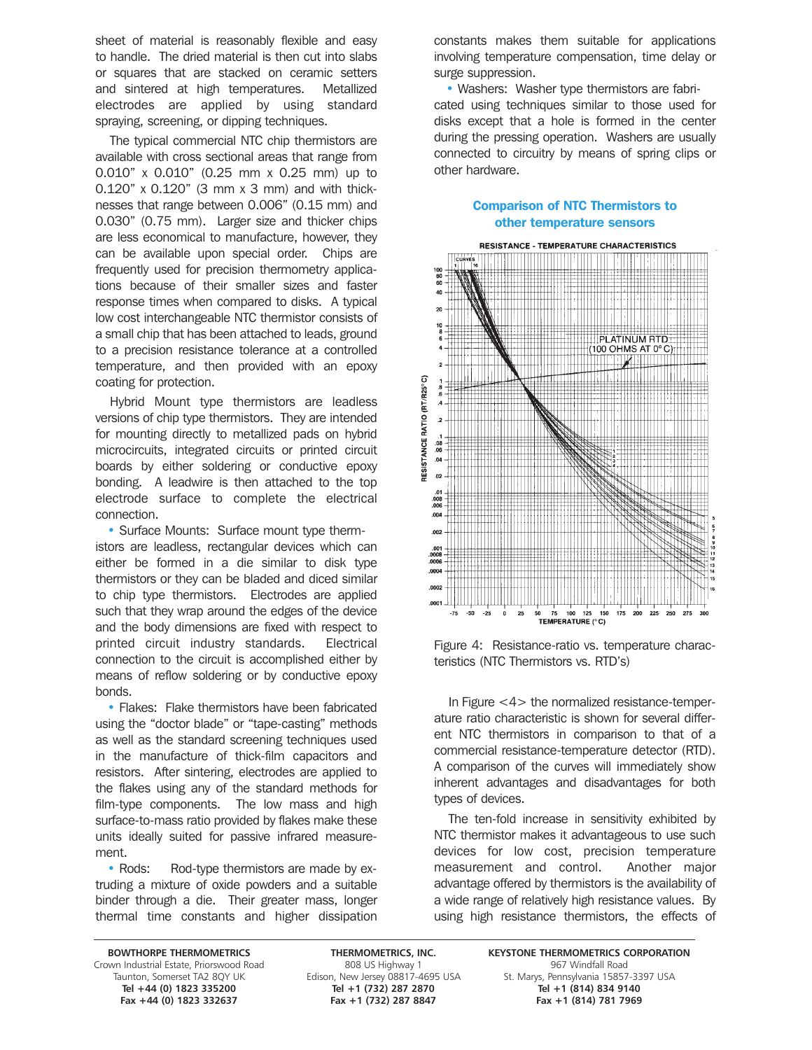sheet of material is reasonably flexible and easy to handle. The dried material is then cut into slabs or squares that are stacked on ceramic setters and sintered at high temperatures. Metallized electrodes are applied by using standard spraying, screening, or dipping techniques.

The typical commercial NTC chip thermistors are available with cross sectional areas that range from 0.010" x 0.010" (0.25 mm x 0.25 mm) up to 0.120" x 0.120" (3 mm x 3 mm) and with thicknesses that range between 0.006" (0.15 mm) and 0.030" (0.75 mm). Larger size and thicker chips are less economical to manufacture, however, they can be available upon special order. Chips are frequently used for precision thermometry applications because of their smaller sizes and faster response times when compared to disks. A typical low cost interchangeable NTC thermistor consists of a small chip that has been attached to leads, ground to a precision resistance tolerance at a controlled temperature, and then provided with an epoxy coating for protection.

Hybrid Mount type thermistors are leadless versions of chip type thermistors. They are intended for mounting directly to metallized pads on hybrid microcircuits, integrated circuits or printed circuit boards by either soldering or conductive epoxy bonding. A leadwire is then attached to the top electrode surface to complete the electrical connection.

• Surface Mounts: Surface mount type thermistors are leadless, rectangular devices which can either be formed in a die similar to disk type thermistors or they can be bladed and diced similar to chip type thermistors. Electrodes are applied such that they wrap around the edges of the device and the body dimensions are fixed with respect to printed circuit industry standards. Electrical connection to the circuit is accomplished either by means of reflow soldering or by conductive epoxy bonds.

• Flakes: Flake thermistors have been fabricated using the "doctor blade" or "tape-casting" methods as well as the standard screening techniques used in the manufacture of thick-film capacitors and resistors. After sintering, electrodes are applied to the flakes using any of the standard methods for film-type components. The low mass and high surface-to-mass ratio provided by flakes make these units ideally suited for passive infrared measurement.

• Rods: Rod-type thermistors are made by extruding a mixture of oxide powders and a suitable binder through a die. Their greater mass, longer thermal time constants and higher dissipation constants makes them suitable for applications involving temperature compensation, time delay or surge suppression.

• Washers: Washer type thermistors are fabricated using techniques similar to those used for disks except that a hole is formed in the center during the pressing operation. Washers are usually connected to circuitry by means of spring clips or other hardware.

### Comparison of NTC Thermistors to other temperature sensors



Figure 4: Resistance-ratio vs. temperature characteristics (NTC Thermistors vs. RTD's)

In Figure <4> the normalized resistance-temperature ratio characteristic is shown for several different NTC thermistors in comparison to that of a commercial resistance-temperature detector (RTD). A comparison of the curves will immediately show inherent advantages and disadvantages for both types of devices.

The ten-fold increase in sensitivity exhibited by NTC thermistor makes it advantageous to use such devices for low cost, precision temperature measurement and control. Another major advantage offered by thermistors is the availability of a wide range of relatively high resistance values. By using high resistance thermistors, the effects of

Grown Industrial Estate, Priorswood Road 808 US Highway 1 967 Windfall Road 808 US Highway 1 967 Windfall Road<br>Taunton, Somerset TA2 8QY UK Edison, New Jersey 08817-4695 USA 5t. Marys, Pennsylvania 15857 Fax +44 (0) 1823 332637

**Tel +44 (0) 1823 335200 Tel +1 (732) 287 2870 Tel +1 (814) 834 9140**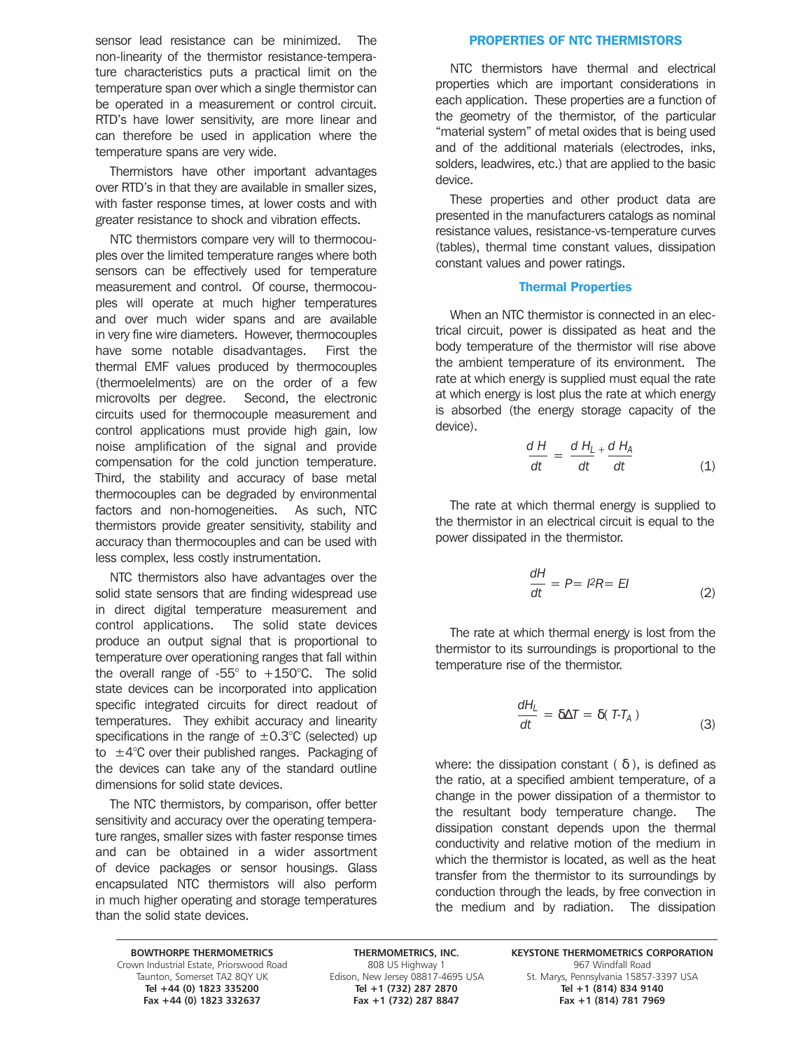sensor lead resistance can be minimized. The non-linearity of the thermistor resistance-temperature characteristics puts a practical limit on the temperature span over which a single thermistor can be operated in a measurement or control circuit. RTD's have lower sensitivity, are more linear and can therefore be used in application where the temperature spans are very wide.

Thermistors have other important advantages over RTD's in that they are available in smaller sizes, with faster response times, at lower costs and with greater resistance to shock and vibration effects.

NTC thermistors compare very will to thermocouples over the limited temperature ranges where both sensors can be effectively used for temperature measurement and control. Of course, thermocouples will operate at much higher temperatures and over much wider spans and are available in very fine wire diameters. However, thermocouples have some notable disadvantages. First the thermal EMF values produced by thermocouples (thermoelelments) are on the order of a few microvolts per degree. Second, the electronic circuits used for thermocouple measurement and control applications must provide high gain, low noise amplification of the signal and provide compensation for the cold junction temperature. Third, the stability and accuracy of base metal thermocouples can be degraded by environmental factors and non-homogeneities. As such, NTC thermistors provide greater sensitivity, stability and accuracy than thermocouples and can be used with less complex, less costly instrumentation.

NTC thermistors also have advantages over the solid state sensors that are finding widespread use in direct digital temperature measurement and control applications. The solid state devices produce an output signal that is proportional to temperature over operationing ranges that fall within the overall range of  $-55^{\circ}$  to  $+150^{\circ}$ C. The solid state devices can be incorporated into application specific integrated circuits for direct readout of temperatures. They exhibit accuracy and linearity specifications in the range of  $\pm 0.3^{\circ}$ C (selected) up to  $\pm 4^{\circ}$ C over their published ranges. Packaging of the devices can take any of the standard outline dimensions for solid state devices.

The NTC thermistors, by comparison, offer better sensitivity and accuracy over the operating temperature ranges, smaller sizes with faster response times and can be obtained in a wider assortment of device packages or sensor housings. Glass encapsulated NTC thermistors will also perform in much higher operating and storage temperatures than the solid state devices.

### PROPERTIES OF NTC THERMISTORS

NTC thermistors have thermal and electrical properties which are important considerations in each application. These properties are a function of the geometry of the thermistor, of the particular "material system" of metal oxides that is being used and of the additional materials (electrodes, inks, solders, leadwires, etc.) that are applied to the basic device.

These properties and other product data are presented in the manufacturers catalogs as nominal resistance values, resistance-vs-temperature curves (tables), thermal time constant values, dissipation constant values and power ratings.

### Thermal Properties

When an NTC thermistor is connected in an electrical circuit, power is dissipated as heat and the body temperature of the thermistor will rise above the ambient temperature of its environment. The rate at which energy is supplied must equal the rate at which energy is lost plus the rate at which energy is absorbed (the energy storage capacity of the device).

$$
\frac{dH}{dt} = \frac{dH_L}{dt} + \frac{dH_A}{dt}
$$
(1)

The rate at which thermal energy is supplied to the thermistor in an electrical circuit is equal to the power dissipated in the thermistor.

$$
\frac{dH}{dt} = P = I^2 R = EI \tag{2}
$$

The rate at which thermal energy is lost from the thermistor to its surroundings is proportional to the temperature rise of the thermistor.

$$
\frac{dH_L}{dt} = \delta \Delta T = \delta (T - T_A) \tag{3}
$$

where: the dissipation constant ( $\delta$ ), is defined as the ratio, at a specified ambient temperature, of a change in the power dissipation of a thermistor to the resultant body temperature change. The dissipation constant depends upon the thermal conductivity and relative motion of the medium in which the thermistor is located, as well as the heat transfer from the thermistor to its surroundings by conduction through the leads, by free convection in the medium and by radiation. The dissipation

Grown Industrial Estate, Priorswood Road 808 US Highway 1 967 Windfall Road 808 US Highway 1 967 Windfall Road<br>Taunton, Somerset TA2 8QY UK Edison, New Jersey 08817-4695 USA 5t. Marys, Pennsylvania 15857 Fax +44 (0) 1823 332637

**Tel +44 (0) 1823 335200 Tel +1 (732) 287 2870 Tel +1 (814) 834 9140**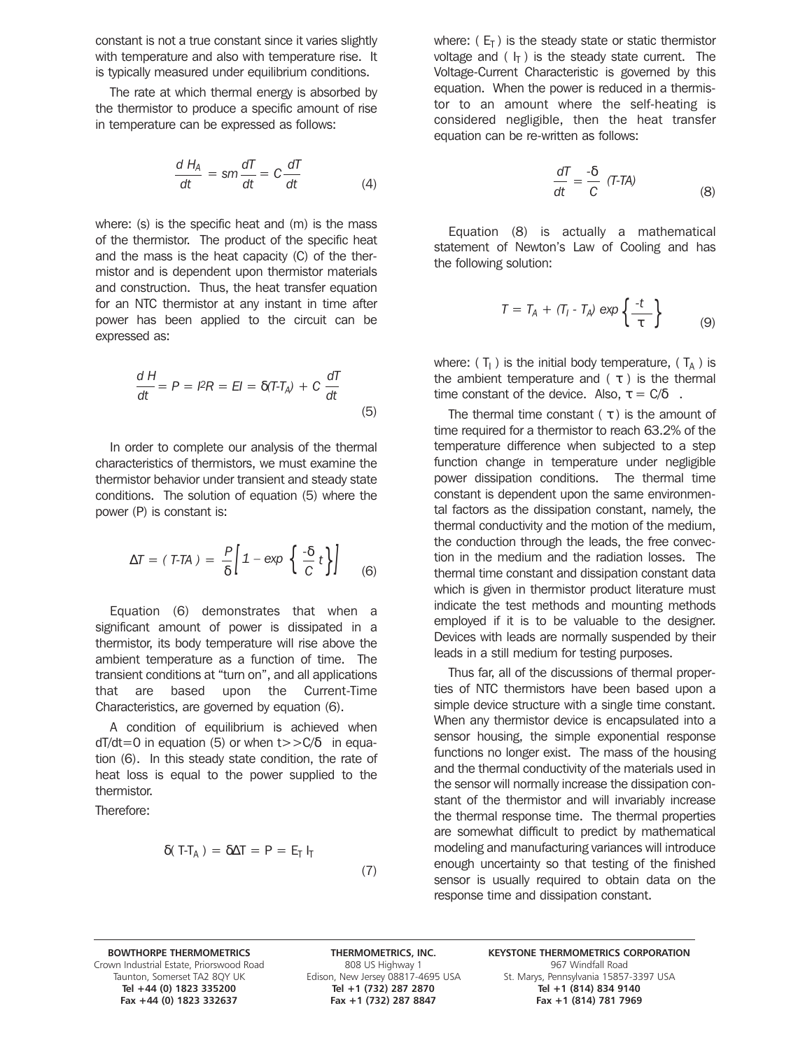constant is not a true constant since it varies slightly with temperature and also with temperature rise. It is typically measured under equilibrium conditions.

The rate at which thermal energy is absorbed by the thermistor to produce a specific amount of rise in temperature can be expressed as follows:

$$
\frac{dH_A}{dt} = sm\frac{dT}{dt} = C\frac{dT}{dt}
$$
 (4)

where: (s) is the specific heat and (m) is the mass of the thermistor. The product of the specific heat and the mass is the heat capacity (C) of the thermistor and is dependent upon thermistor materials and construction. Thus, the heat transfer equation for an NTC thermistor at any instant in time after power has been applied to the circuit can be expressed as:

$$
\frac{dH}{dt} = P = I^2 R = EI = \delta(T - T_A) + C \frac{dT}{dt}
$$
\n(5)

In order to complete our analysis of the thermal characteristics of thermistors, we must examine the thermistor behavior under transient and steady state conditions. The solution of equation (5) where the power (P) is constant is:

$$
\Delta T = (T-TA) = \frac{P}{\delta} \left[ 1 - \exp \left\{ \frac{-\delta}{C} t \right\} \right] \tag{6}
$$

Equation (6) demonstrates that when a significant amount of power is dissipated in a thermistor, its body temperature will rise above the ambient temperature as a function of time. The transient conditions at "turn on", and all applications that are based upon the Current-Time Characteristics, are governed by equation (6).

A condition of equilibrium is achieved when  $dT/dt=0$  in equation (5) or when  $t>>C/\delta$  in equation (6). In this steady state condition, the rate of heat loss is equal to the power supplied to the thermistor.

Therefore:

$$
\delta(T-T_A) = \delta \Delta T = P = E_T I_T \tag{7}
$$

where:  $(E_T)$  is the steady state or static thermistor voltage and ( $I_T$ ) is the steady state current. The Voltage-Current Characteristic is governed by this equation. When the power is reduced in a thermistor to an amount where the self-heating is considered negligible, then the heat transfer equation can be re-written as follows:

$$
\frac{dT}{dt} = \frac{-\delta}{C} (T-TA)
$$
 (8)

Equation (8) is actually a mathematical statement of Newton's Law of Cooling and has the following solution:

$$
T = T_A + (T_I - T_A) \exp\left\{\frac{-t}{\tau}\right\} \tag{9}
$$

where:  $(T_1)$  is the initial body temperature,  $(T_A)$  is the ambient temperature and  $(\tau)$  is the thermal time constant of the device. Also,  $\tau = C/\delta$ .

The thermal time constant  $(\tau)$  is the amount of time required for a thermistor to reach 63.2% of the temperature difference when subjected to a step function change in temperature under negligible power dissipation conditions. The thermal time constant is dependent upon the same environmental factors as the dissipation constant, namely, the thermal conductivity and the motion of the medium, the conduction through the leads, the free convection in the medium and the radiation losses. The thermal time constant and dissipation constant data which is given in thermistor product literature must indicate the test methods and mounting methods employed if it is to be valuable to the designer. Devices with leads are normally suspended by their leads in a still medium for testing purposes.

Thus far, all of the discussions of thermal properties of NTC thermistors have been based upon a simple device structure with a single time constant. When any thermistor device is encapsulated into a sensor housing, the simple exponential response functions no longer exist. The mass of the housing and the thermal conductivity of the materials used in the sensor will normally increase the dissipation constant of the thermistor and will invariably increase the thermal response time. The thermal properties are somewhat difficult to predict by mathematical modeling and manufacturing variances will introduce enough uncertainty so that testing of the finished sensor is usually required to obtain data on the response time and dissipation constant.

Grown Industrial Estate, Priorswood Road 808 US Highway 1 967 Windfall Road 808 US Highway 1 967 Windfall Road<br>Taunton, Somerset TA2 8QY UK Edison, New Jersey 08817-4695 USA 5t. Marys, Pennsylvania 15857 Fax +44 (0) 1823 332637

**Tel +44 (0) 1823 335200 Tel +1 (732) 287 2870 Tel +1 (814) 834 9140**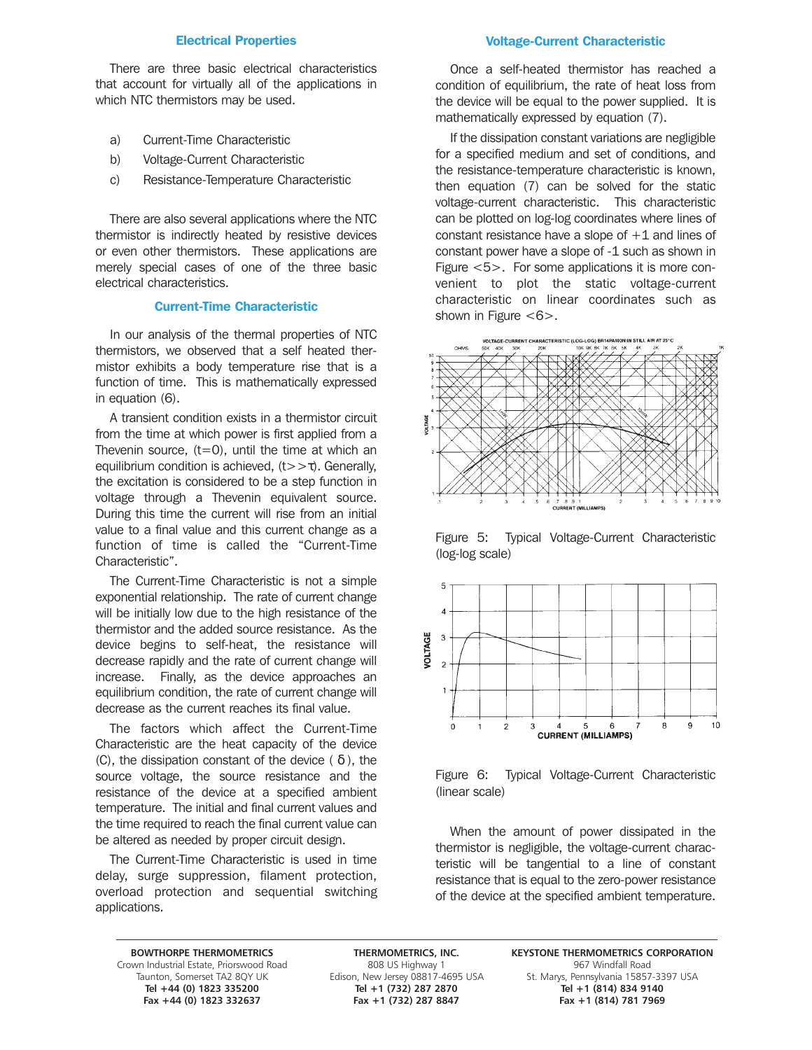### Electrical Properties

There are three basic electrical characteristics that account for virtually all of the applications in which NTC thermistors may be used.

- a) Current-Time Characteristic
- b) Voltage-Current Characteristic
- c) Resistance-Temperature Characteristic

There are also several applications where the NTC thermistor is indirectly heated by resistive devices or even other thermistors. These applications are merely special cases of one of the three basic electrical characteristics.

### Current-Time Characteristic

In our analysis of the thermal properties of NTC thermistors, we observed that a self heated thermistor exhibits a body temperature rise that is a function of time. This is mathematically expressed in equation (6).

A transient condition exists in a thermistor circuit from the time at which power is first applied from a Thevenin source,  $(t=0)$ , until the time at which an equilibrium condition is achieved,  $(t \gt \tau)$ . Generally, the excitation is considered to be a step function in voltage through a Thevenin equivalent source. During this time the current will rise from an initial value to a final value and this current change as a function of time is called the "Current-Time Characteristic".

The Current-Time Characteristic is not a simple exponential relationship. The rate of current change will be initially low due to the high resistance of the thermistor and the added source resistance. As the device begins to self-heat, the resistance will decrease rapidly and the rate of current change will increase. Finally, as the device approaches an equilibrium condition, the rate of current change will decrease as the current reaches its final value.

The factors which affect the Current-Time Characteristic are the heat capacity of the device (C), the dissipation constant of the device ( $\delta$ ), the source voltage, the source resistance and the resistance of the device at a specified ambient temperature. The initial and final current values and the time required to reach the final current value can be altered as needed by proper circuit design.

The Current-Time Characteristic is used in time delay, surge suppression, filament protection, overload protection and sequential switching applications.

### Voltage-Current Characteristic

Once a self-heated thermistor has reached a condition of equilibrium, the rate of heat loss from the device will be equal to the power supplied. It is mathematically expressed by equation (7).

If the dissipation constant variations are negligible for a specified medium and set of conditions, and the resistance-temperature characteristic is known, then equation (7) can be solved for the static voltage-current characteristic. This characteristic can be plotted on log-log coordinates where lines of constant resistance have a slope of  $+1$  and lines of constant power have a slope of -1 such as shown in Figure <5>. For some applications it is more convenient to plot the static voltage-current characteristic on linear coordinates such as shown in Figure  $<\,6$  $>$ .



Figure 5: Typical Voltage-Current Characteristic (log-log scale)



Figure 6: Typical Voltage-Current Characteristic (linear scale)

When the amount of power dissipated in the thermistor is negligible, the voltage-current characteristic will be tangential to a line of constant resistance that is equal to the zero-power resistance of the device at the specified ambient temperature.

Grown Industrial Estate, Priorswood Road 808 US Highway 1 967 Windfall Road 808 US Highway 1 967 Windfall Road<br>Taunton, Somerset TA2 8QY UK Edison, New Jersey 08817-4695 USA 5t. Marys, Pennsylvania 15857 **Fax +44 (0) 1823 332637 Fax +1 (732) 287 8847 Fax +1 (814) 781 7969**

**Tel +44 (0) 1823 335200 Tel +1 (732) 287 2870 Tel +1 (814) 834 9140**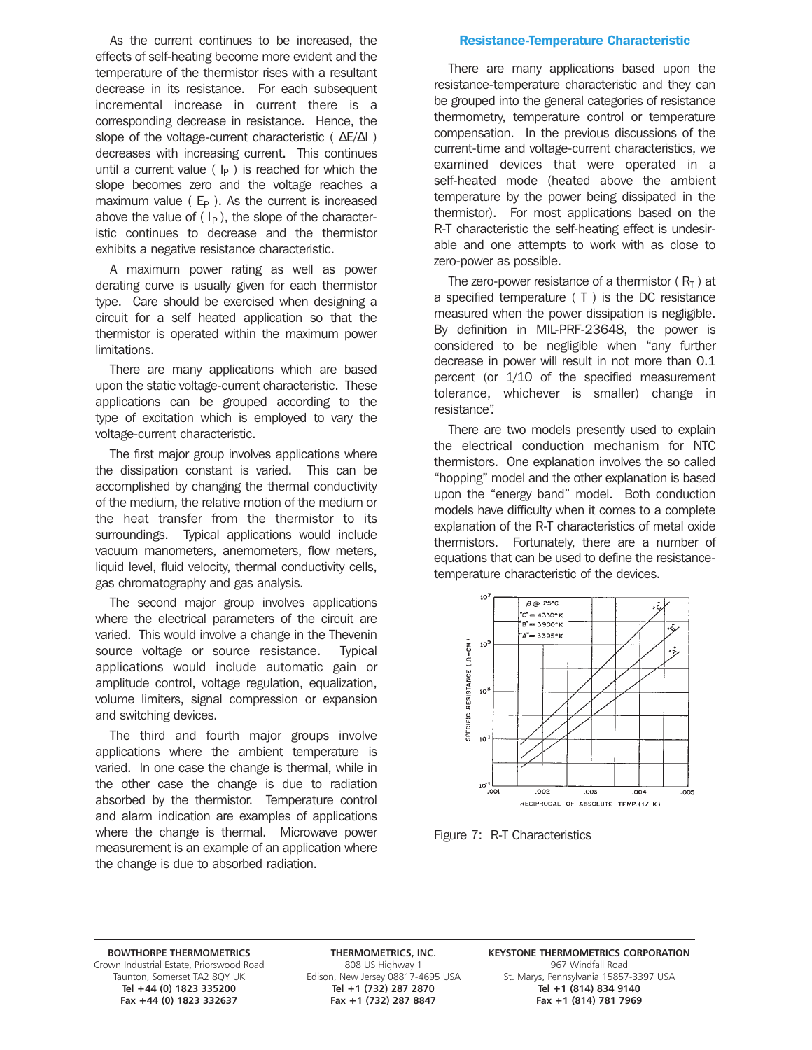As the current continues to be increased, the effects of self-heating become more evident and the temperature of the thermistor rises with a resultant decrease in its resistance. For each subsequent incremental increase in current there is a corresponding decrease in resistance. Hence, the slope of the voltage-current characteristic ( ΔE/ΔI) decreases with increasing current. This continues until a current value  $(\vert_{\mathsf{P}})$  is reached for which the slope becomes zero and the voltage reaches a maximum value ( $E_P$ ). As the current is increased above the value of  $(I_P)$ , the slope of the characteristic continues to decrease and the thermistor exhibits a negative resistance characteristic.

A maximum power rating as well as power derating curve is usually given for each thermistor type. Care should be exercised when designing a circuit for a self heated application so that the thermistor is operated within the maximum power limitations.

There are many applications which are based upon the static voltage-current characteristic. These applications can be grouped according to the type of excitation which is employed to vary the voltage-current characteristic.

The first major group involves applications where the dissipation constant is varied. This can be accomplished by changing the thermal conductivity of the medium, the relative motion of the medium or the heat transfer from the thermistor to its surroundings. Typical applications would include vacuum manometers, anemometers, flow meters, liquid level, fluid velocity, thermal conductivity cells, gas chromatography and gas analysis.

The second major group involves applications where the electrical parameters of the circuit are varied. This would involve a change in the Thevenin source voltage or source resistance. Typical applications would include automatic gain or amplitude control, voltage regulation, equalization, volume limiters, signal compression or expansion and switching devices.

The third and fourth major groups involve applications where the ambient temperature is varied. In one case the change is thermal, while in the other case the change is due to radiation absorbed by the thermistor. Temperature control and alarm indication are examples of applications where the change is thermal. Microwave power measurement is an example of an application where the change is due to absorbed radiation.

### Resistance-Temperature Characteristic

There are many applications based upon the resistance-temperature characteristic and they can be grouped into the general categories of resistance thermometry, temperature control or temperature compensation. In the previous discussions of the current-time and voltage-current characteristics, we examined devices that were operated in a self-heated mode (heated above the ambient temperature by the power being dissipated in the thermistor). For most applications based on the R-T characteristic the self-heating effect is undesirable and one attempts to work with as close to zero-power as possible.

The zero-power resistance of a thermistor ( $R_T$ ) at a specified temperature ( T ) is the DC resistance measured when the power dissipation is negligible. By definition in MIL-PRF-23648, the power is considered to be negligible when "any further decrease in power will result in not more than 0.1 percent (or 1/10 of the specified measurement tolerance, whichever is smaller) change in resistance".

There are two models presently used to explain the electrical conduction mechanism for NTC thermistors. One explanation involves the so called "hopping" model and the other explanation is based upon the "energy band" model. Both conduction models have difficulty when it comes to a complete explanation of the R-T characteristics of metal oxide thermistors. Fortunately, there are a number of equations that can be used to define the resistancetemperature characteristic of the devices.



Figure 7: R-T Characteristics

Grown Industrial Estate, Priorswood Road 808 US Highway 1 967 Windfall Road 808 US Highway 1 967 Windfall Road<br>Taunton, Somerset TA2 8QY UK Edison, New Jersey 08817-4695 USA 5t. Marys, Pennsylvania 15857

**Tel +44 (0) 1823 335200 Tel +1 (732) 287 2870 Tel +1 (814) 834 9140** Fax +1 (732) 287 8847

**BOWTHORPE THERMOMETRICS THERMOMETRICS, INC. KEYSTONE THERMOMETRICS CORPORATION** unton, Somerset TA2 8QY UK Edison, New Jersey 08817-4695 USA St. Marys, Pennsylvania 15857-3397 USA<br>Tel +44 (0) 1823 335200 Tel +1 (732) 287 2870 Tel +1 (814) 834 9140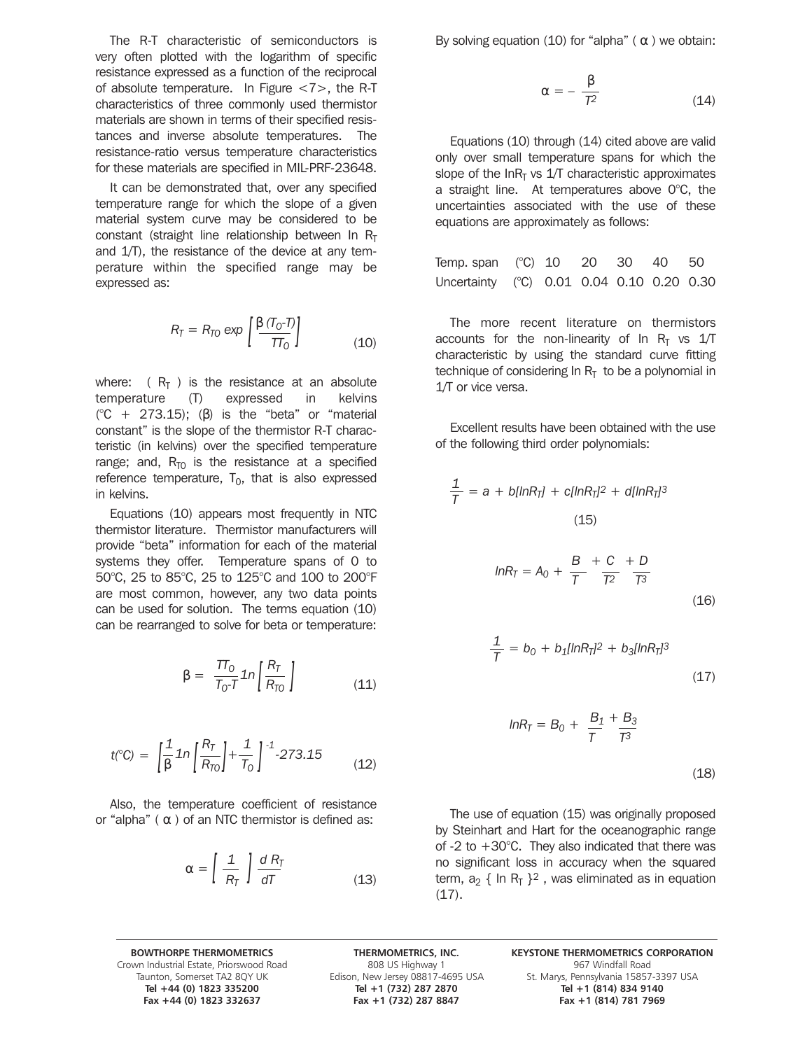The R-T characteristic of semiconductors is very often plotted with the logarithm of specific resistance expressed as a function of the reciprocal of absolute temperature. In Figure <7>, the R-T characteristics of three commonly used thermistor materials are shown in terms of their specified resistances and inverse absolute temperatures. The resistance-ratio versus temperature characteristics for these materials are specified in MIL-PRF-23648.

It can be demonstrated that, over any specified temperature range for which the slope of a given material system curve may be considered to be constant (straight line relationship between In  $R<sub>T</sub>$ and 1/T), the resistance of the device at any temperature within the specified range may be expressed as:

$$
R_T = R_{TO} \exp\left[\frac{\beta (T_0 - T)}{T T_0}\right]
$$
 (10)

where:  $(R<sub>T</sub>)$  is the resistance at an absolute temperature (T) expressed in kelvins  $(C + 273.15)$ ; (β) is the "beta" or "material constant" is the slope of the thermistor R-T characteristic (in kelvins) over the specified temperature range; and,  $R_{\overline{10}}$  is the resistance at a specified reference temperature,  $T_0$ , that is also expressed in kelvins.

Equations (10) appears most frequently in NTC thermistor literature. Thermistor manufacturers will provide "beta" information for each of the material systems they offer. Temperature spans of 0 to 50°C, 25 to 85°C, 25 to 125°C and 100 to 200°F are most common, however, any two data points can be used for solution. The terms equation (10) can be rearranged to solve for beta or temperature:

$$
\beta = \frac{T T_0}{T_0 - T} \ln \left[ \frac{R_T}{R_{T0}} \right] \tag{11}
$$

$$
t(^{\circ}C) = \left[\frac{1}{\beta} \ln \left(\frac{R_T}{R_{T0}}\right) + \frac{1}{T_0}\right]^{-1} - 273.15 \tag{12}
$$

Also, the temperature coefficient of resistance or "alpha"  $( \alpha )$  of an NTC thermistor is defined as:

$$
\alpha = \left[\frac{1}{R_T}\right] \frac{dR_T}{dT}
$$
 (13)

By solving equation (10) for "alpha" ( $α$ ) we obtain:

$$
\alpha = -\frac{\beta}{T^2} \tag{14}
$$

Equations (10) through (14) cited above are valid only over small temperature spans for which the slope of the  $InR<sub>T</sub>$  vs 1/T characteristic approximates a straight line. At temperatures above 0°C, the uncertainties associated with the use of these equations are approximately as follows:

| Temp. span (°C) 10 20 30 40 50            |  |  |  |
|-------------------------------------------|--|--|--|
| Uncertainty (°C) 0.01 0.04 0.10 0.20 0.30 |  |  |  |

The more recent literature on thermistors accounts for the non-linearity of In  $R<sub>T</sub>$  vs 1/T characteristic by using the standard curve fitting technique of considering In  $R<sub>T</sub>$  to be a polynomial in 1/T or vice versa.

Excellent results have been obtained with the use of the following third order polynomials:

$$
\frac{1}{T} = a + b[lnR_{T}] + c[lnR_{T}]^{2} + d[lnR_{T}]^{3}
$$
\n(15)\n  
\n
$$
lnR_{T} = A_{0} + \frac{B}{T} + \frac{C}{T^{2}} + \frac{D}{T^{3}}
$$
\n(16)

$$
\frac{1}{T} = b_0 + b_1 [ln R_T]^2 + b_3 [ln R_T]^3
$$
\n(17)

$$
InR_{T} = B_{0} + \frac{B_{1}}{T} + \frac{B_{3}}{T^{3}}
$$

(18)

The use of equation (15) was originally proposed by Steinhart and Hart for the oceanographic range of -2 to  $+30^{\circ}$ C. They also indicated that there was no significant loss in accuracy when the squared term,  $a_2 \{ ln R_T \}^2$ , was eliminated as in equation  $(17).$ 

Grown Industrial Estate, Priorswood Road 808 US Highway 1 967 Windfall Road 808 US Highway 1 967 Windfall Road<br>Taunton, Somerset TA2 8QY UK Edison, New Jersey 08817-4695 USA 5t. Marys, Pennsylvania 15857 Fax +44 (0) 1823 332637 Fax +1 (732) 287 8847

**Tel +44 (0) 1823 335200 Tel +1 (732) 287 2870 Tel +1 (814) 834 9140**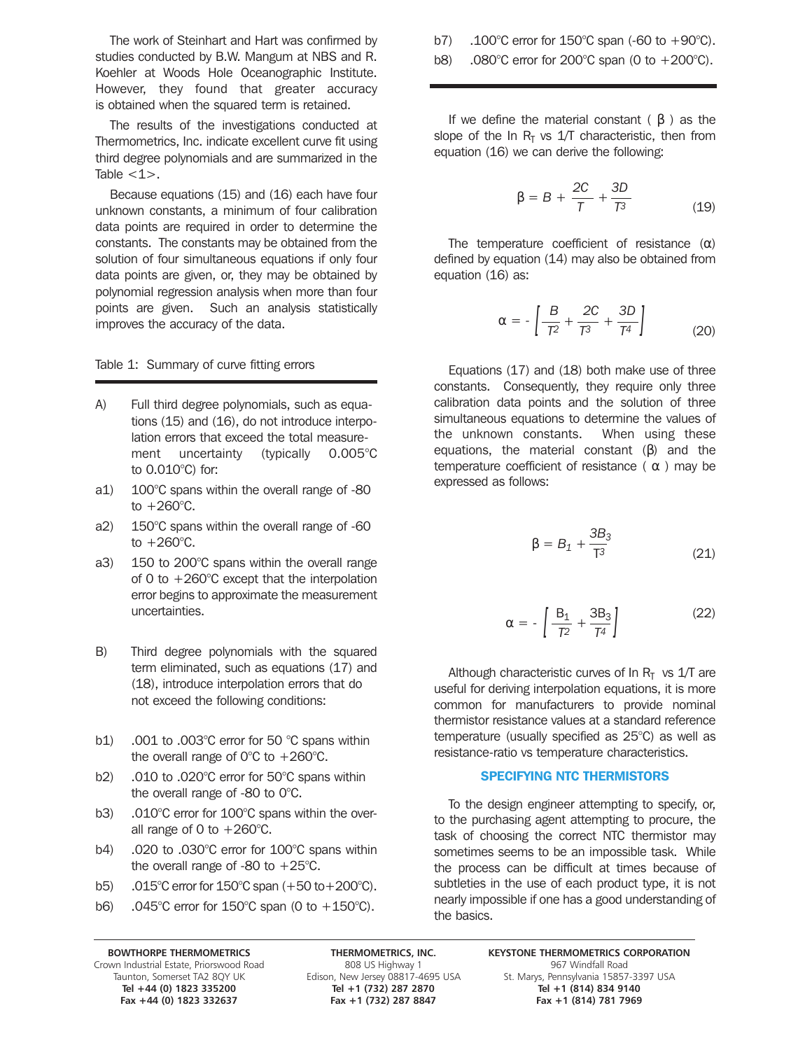The work of Steinhart and Hart was confirmed by studies conducted by B.W. Mangum at NBS and R. Koehler at Woods Hole Oceanographic Institute. However, they found that greater accuracy is obtained when the squared term is retained.

The results of the investigations conducted at Thermometrics, Inc. indicate excellent curve fit using third degree polynomials and are summarized in the Table  $<1$ .

Because equations (15) and (16) each have four unknown constants, a minimum of four calibration data points are required in order to determine the constants. The constants may be obtained from the solution of four simultaneous equations if only four data points are given, or, they may be obtained by polynomial regression analysis when more than four points are given. Such an analysis statistically improves the accuracy of the data.

### Table 1: Summary of curve fitting errors

- A) Full third degree polynomials, such as equations (15) and (16), do not introduce interpolation errors that exceed the total measurement uncertainty (typically 0.005°C to 0.010°C) for:
- a1) 100°C spans within the overall range of -80 to  $+260^{\circ}$ C.
- a2) 150°C spans within the overall range of -60 to  $+260^{\circ}$ C.
- a3) 150 to 200°C spans within the overall range of 0 to +260°C except that the interpolation error begins to approximate the measurement uncertainties.
- B) Third degree polynomials with the squared term eliminated, such as equations (17) and (18), introduce interpolation errors that do not exceed the following conditions:
- b1) .001 to .003°C error for 50 °C spans within the overall range of  $0^{\circ}$ C to  $+260^{\circ}$ C.
- b2) .010 to .020°C error for 50°C spans within the overall range of -80 to 0°C.
- b3) .010°C error for 100°C spans within the overall range of 0 to  $+260^{\circ}$ C.
- b4) .020 to .030°C error for 100°C spans within the overall range of -80 to  $+25^{\circ}$ C.
- b5) .015°C error for 150°C span (+50 to+200°C).
- b6) .045°C error for 150°C span (0 to +150°C).

b7) .100°C error for 150°C span (-60 to +90°C).

b8) .080°C error for 200°C span (0 to +200°C).

If we define the material constant ( β ) as the slope of the In  $R<sub>T</sub>$  vs 1/T characteristic, then from equation (16) we can derive the following:

$$
\beta = B + \frac{2C}{T} + \frac{3D}{T^3} \tag{19}
$$

The temperature coefficient of resistance  $(\alpha)$ defined by equation (14) may also be obtained from equation (16) as:

$$
\alpha = -\left[\frac{B}{T^2} + \frac{2C}{T^3} + \frac{3D}{T^4}\right] \tag{20}
$$

Equations (17) and (18) both make use of three constants. Consequently, they require only three calibration data points and the solution of three simultaneous equations to determine the values of the unknown constants. When using these equations, the material constant  $(β)$  and the temperature coefficient of resistance ( $\alpha$ ) may be expressed as follows:

$$
\beta = B_1 + \frac{3B_3}{T^3} \tag{21}
$$

$$
\alpha = -\left[\frac{B_1}{T^2} + \frac{3B_3}{T^4}\right] \tag{22}
$$

Although characteristic curves of In  $R<sub>T</sub>$  vs 1/T are useful for deriving interpolation equations, it is more common for manufacturers to provide nominal thermistor resistance values at a standard reference temperature (usually specified as 25°C) as well as resistance-ratio vs temperature characteristics.

### SPECIFYING NTC THERMISTORS

To the design engineer attempting to specify, or, to the purchasing agent attempting to procure, the task of choosing the correct NTC thermistor may sometimes seems to be an impossible task. While the process can be difficult at times because of subtleties in the use of each product type, it is not nearly impossible if one has a good understanding of the basics.

Grown Industrial Estate, Priorswood Road 808 US Highway 1 808 US Highway 1 967 Windfall Road 608 US Highway 1<br>Taunton, Somerset TA2 8QY UK Edison, New Jersey 08817-4695 USA 5t. Marys, Pennsylvania 15857

**Tel +44 (0) 1823 335200 Tel +1 (732) 287 2870 Tel +1 (814) 834 9140** Fax +1 (732) 287 8847

**BOWTHORPE THERMOMETRICS THERMOMETRICS, INC. KEYSTONE THERMOMETRICS CORPORATION** n, New Jersey 08817-4695 USA St. Marys, Pennsylvania 15857-3397 USA<br>Tel +1 (732) 287 2870 Tel +1 (814) 834 9140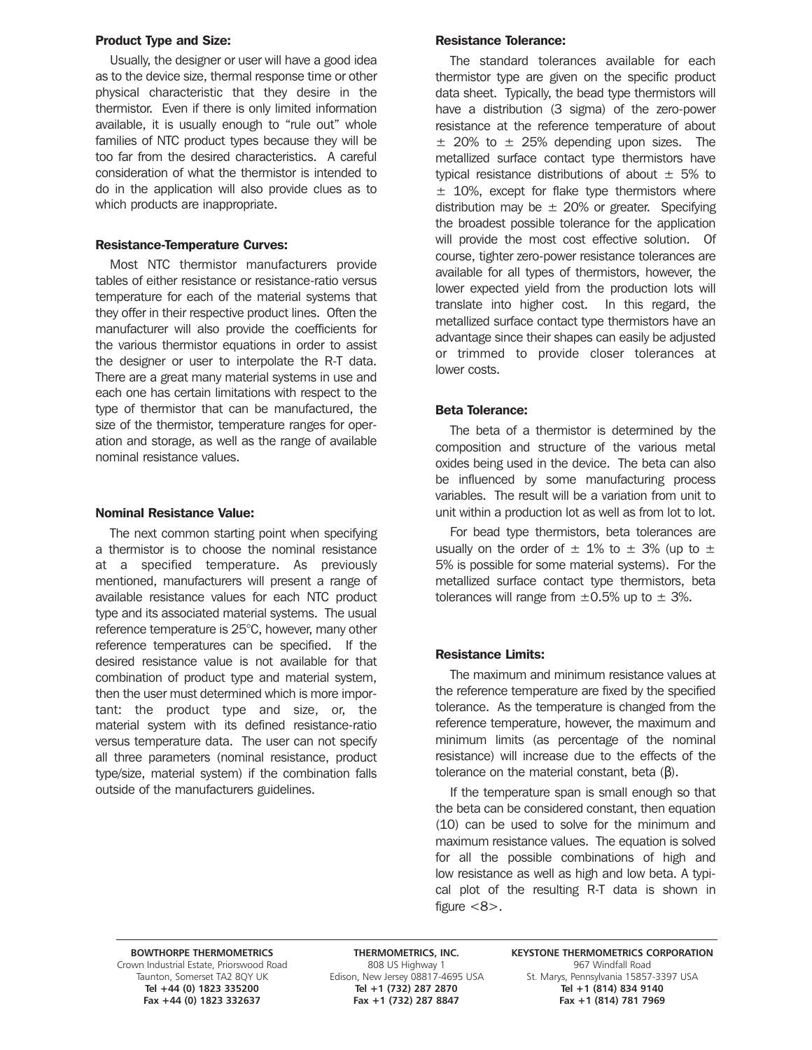### Product Type and Size:

Usually, the designer or user will have a good idea as to the device size, thermal response time or other physical characteristic that they desire in the thermistor. Even if there is only limited information available, it is usually enough to "rule out" whole families of NTC product types because they will be too far from the desired characteristics. A careful consideration of what the thermistor is intended to do in the application will also provide clues as to which products are inappropriate.

### Resistance-Temperature Curves:

Most NTC thermistor manufacturers provide tables of either resistance or resistance-ratio versus temperature for each of the material systems that they offer in their respective product lines. Often the manufacturer will also provide the coefficients for the various thermistor equations in order to assist the designer or user to interpolate the R-T data. There are a great many material systems in use and each one has certain limitations with respect to the type of thermistor that can be manufactured, the size of the thermistor, temperature ranges for operation and storage, as well as the range of available nominal resistance values.

### Nominal Resistance Value:

The next common starting point when specifying a thermistor is to choose the nominal resistance at a specified temperature. As previously mentioned, manufacturers will present a range of available resistance values for each NTC product type and its associated material systems. The usual reference temperature is 25°C, however, many other reference temperatures can be specified. If the desired resistance value is not available for that combination of product type and material system, then the user must determined which is more important: the product type and size, or, the material system with its defined resistance-ratio versus temperature data. The user can not specify all three parameters (nominal resistance, product type/size, material system) if the combination falls outside of the manufacturers guidelines.

### Resistance Tolerance:

The standard tolerances available for each thermistor type are given on the specific product data sheet. Typically, the bead type thermistors will have a distribution (3 sigma) of the zero-power resistance at the reference temperature of about  $\pm$  20% to  $\pm$  25% depending upon sizes. The metallized surface contact type thermistors have typical resistance distributions of about  $\pm$  5% to  $±$  10%, except for flake type thermistors where distribution may be  $\pm$  20% or greater. Specifying the broadest possible tolerance for the application will provide the most cost effective solution. Of course, tighter zero-power resistance tolerances are available for all types of thermistors, however, the lower expected yield from the production lots will translate into higher cost. In this regard, the metallized surface contact type thermistors have an advantage since their shapes can easily be adjusted or trimmed to provide closer tolerances at lower costs.

### Beta Tolerance:

The beta of a thermistor is determined by the composition and structure of the various metal oxides being used in the device. The beta can also be influenced by some manufacturing process variables. The result will be a variation from unit to unit within a production lot as well as from lot to lot.

For bead type thermistors, beta tolerances are usually on the order of  $\pm$  1% to  $\pm$  3% (up to  $\pm$ 5% is possible for some material systems). For the metallized surface contact type thermistors, beta tolerances will range from  $\pm 0.5$ % up to  $\pm$  3%.

# Resistance Limits:

The maximum and minimum resistance values at the reference temperature are fixed by the specified tolerance. As the temperature is changed from the reference temperature, however, the maximum and minimum limits (as percentage of the nominal resistance) will increase due to the effects of the tolerance on the material constant, beta (β).

If the temperature span is small enough so that the beta can be considered constant, then equation (10) can be used to solve for the minimum and maximum resistance values. The equation is solved for all the possible combinations of high and low resistance as well as high and low beta. A typical plot of the resulting R-T data is shown in figure  $<8$ .

Grown Industrial Estate, Priorswood Road 808 US Highway 1 967 Windfall Road 808 US Highway 1 967 Windfall Road<br>Taunton, Somerset TA2 8QY UK Edison, New Jersey 08817-4695 USA 5t. Marys, Pennsylvania 15857 Fax +44 (0) 1823 332637

**Tel +44 (0) 1823 335200 Tel +1 (732) 287 2870 Tel +1 (814) 834 9140**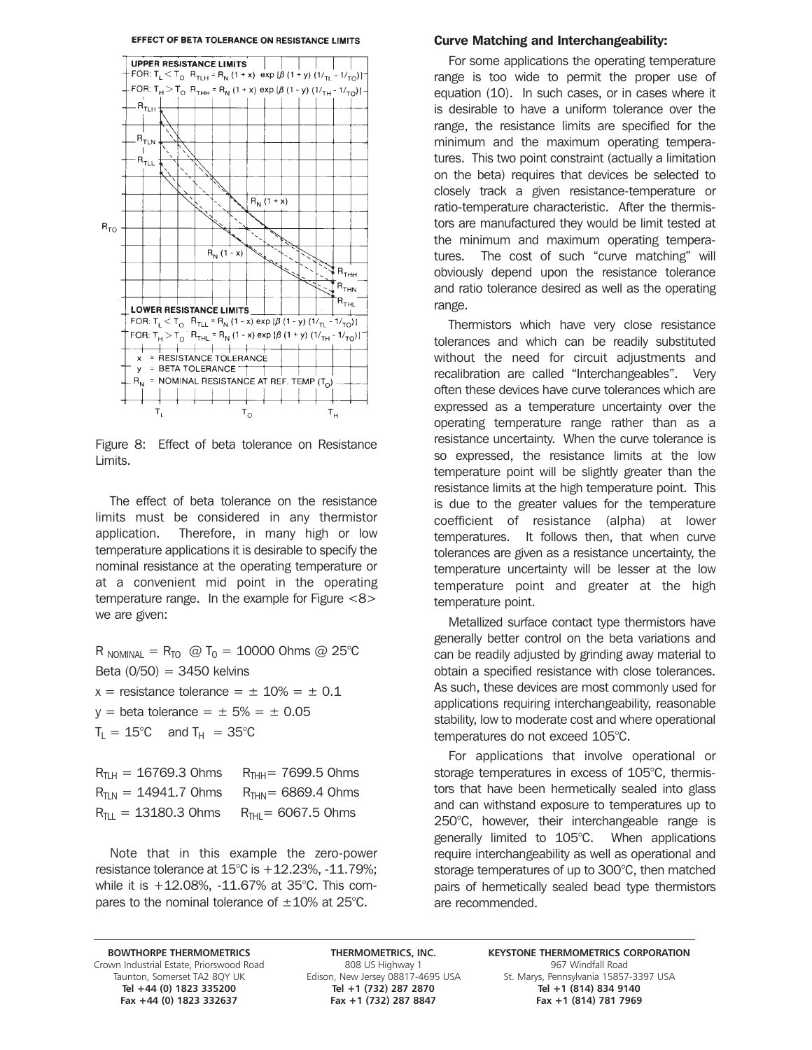

Figure 8: Effect of beta tolerance on Resistance Limits.

The effect of beta tolerance on the resistance limits must be considered in any thermistor application. Therefore, in many high or low temperature applications it is desirable to specify the nominal resistance at the operating temperature or at a convenient mid point in the operating temperature range. In the example for Figure <8> we are given:

 $R_{\text{NOMINAL}} = R_{\overline{10}}$  @ T<sub>0</sub> = 10000 Ohms @ 25°C Beta (0/50) = 3450 kelvins  $x =$  resistance tolerance =  $\pm$  10% =  $\pm$  0.1  $y = \text{beta}$  tolerance =  $\pm$  5% =  $\pm$  0.05  $T_{\text{L}} = 15^{\circ}\text{C}$  and  $T_{\text{H}} = 35^{\circ}\text{C}$ 

| $R_{\text{TH}} = 16769.3$ Ohms  | $R_{THH}$ = 7699.5 Ohms |
|---------------------------------|-------------------------|
| $R_{\text{TIN}}$ = 14941.7 Ohms | $R_{THN} = 6869.4$ Ohms |
| $R_{\text{TI}} = 13180.3$ Ohms  | $R_{THI} = 6067.5$ Ohms |

Note that in this example the zero-power resistance tolerance at  $15^{\circ}$ C is  $+12.23\%$ , -11.79%; while it is +12.08%, -11.67% at 35°C. This compares to the nominal tolerance of  $\pm 10\%$  at 25°C.

### Curve Matching and Interchangeability:

For some applications the operating temperature range is too wide to permit the proper use of equation (10). In such cases, or in cases where it is desirable to have a uniform tolerance over the range, the resistance limits are specified for the minimum and the maximum operating temperatures. This two point constraint (actually a limitation on the beta) requires that devices be selected to closely track a given resistance-temperature or ratio-temperature characteristic. After the thermistors are manufactured they would be limit tested at the minimum and maximum operating temperatures. The cost of such "curve matching" will obviously depend upon the resistance tolerance and ratio tolerance desired as well as the operating range.

Thermistors which have very close resistance tolerances and which can be readily substituted without the need for circuit adjustments and recalibration are called "Interchangeables". Very often these devices have curve tolerances which are expressed as a temperature uncertainty over the operating temperature range rather than as a resistance uncertainty. When the curve tolerance is so expressed, the resistance limits at the low temperature point will be slightly greater than the resistance limits at the high temperature point. This is due to the greater values for the temperature coefficient of resistance (alpha) at lower temperatures. It follows then, that when curve tolerances are given as a resistance uncertainty, the temperature uncertainty will be lesser at the low temperature point and greater at the high temperature point.

Metallized surface contact type thermistors have generally better control on the beta variations and can be readily adjusted by grinding away material to obtain a specified resistance with close tolerances. As such, these devices are most commonly used for applications requiring interchangeability, reasonable stability, low to moderate cost and where operational temperatures do not exceed 105°C.

For applications that involve operational or storage temperatures in excess of 105°C, thermistors that have been hermetically sealed into glass and can withstand exposure to temperatures up to 250°C, however, their interchangeable range is generally limited to 105°C. When applications require interchangeability as well as operational and storage temperatures of up to 300°C, then matched pairs of hermetically sealed bead type thermistors are recommended.

Grown Industrial Estate, Priorswood Road 808 US Highway 1 967 Windfall Road 808 US Highway 1 967 Windfall Road<br>Taunton, Somerset TA2 8QY UK Edison, New Jersey 08817-4695 USA 5t. Marys, Pennsylvania 15857 Fax +44 (0) 1823 332637

**Tel +44 (0) 1823 335200 Tel +1 (732) 287 2870 Tel +1 (814) 834 9140**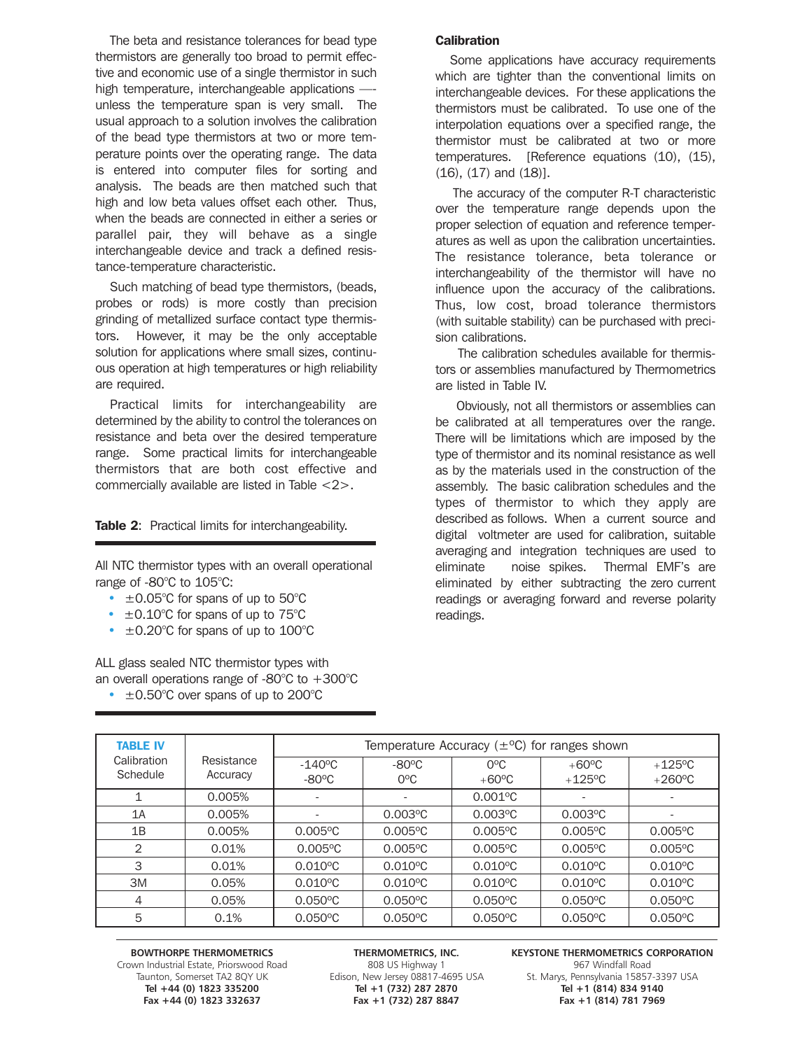The beta and resistance tolerances for bead type thermistors are generally too broad to permit effective and economic use of a single thermistor in such high temperature, interchangeable applications — unless the temperature span is very small. The usual approach to a solution involves the calibration of the bead type thermistors at two or more temperature points over the operating range. The data is entered into computer files for sorting and analysis. The beads are then matched such that high and low beta values offset each other. Thus, when the beads are connected in either a series or parallel pair, they will behave as a single interchangeable device and track a defined resistance-temperature characteristic.

Such matching of bead type thermistors, (beads, probes or rods) is more costly than precision grinding of metallized surface contact type thermistors. However, it may be the only acceptable solution for applications where small sizes, continuous operation at high temperatures or high reliability are required.

Practical limits for interchangeability are determined by the ability to control the tolerances on resistance and beta over the desired temperature range. Some practical limits for interchangeable thermistors that are both cost effective and commercially available are listed in Table <2>.

### Table 2: Practical limits for interchangeability.

All NTC thermistor types with an overall operational range of -80°C to 105°C:

- $\cdot$   $\pm$  0.05°C for spans of up to 50°C
- $\cdot$   $\pm$  0.10°C for spans of up to 75°C
- $\cdot$   $\pm$  0.20°C for spans of up to 100°C

ALL glass sealed NTC thermistor types with an overall operations range of -80°C to +300°C

 $\cdot$   $\pm$  0.50°C over spans of up to 200°C

### **Calibration**

Some applications have accuracy requirements which are tighter than the conventional limits on interchangeable devices. For these applications the thermistors must be calibrated. To use one of the interpolation equations over a specified range, the thermistor must be calibrated at two or more temperatures. [Reference equations (10), (15),  $(16)$ ,  $(17)$  and  $(18)$ ].

The accuracy of the computer R-T characteristic over the temperature range depends upon the proper selection of equation and reference temperatures as well as upon the calibration uncertainties. The resistance tolerance, beta tolerance or interchangeability of the thermistor will have no influence upon the accuracy of the calibrations. Thus, low cost, broad tolerance thermistors (with suitable stability) can be purchased with precision calibrations.

The calibration schedules available for thermistors or assemblies manufactured by Thermometrics are listed in Table IV.

Obviously, not all thermistors or assemblies can be calibrated at all temperatures over the range. There will be limitations which are imposed by the type of thermistor and its nominal resistance as well as by the materials used in the construction of the assembly. The basic calibration schedules and the types of thermistor to which they apply are described as follows. When a current source and digital voltmeter are used for calibration, suitable averaging and integration techniques are used to eliminate noise spikes. Thermal EMF's are eliminated by either subtracting the zero current readings or averaging forward and reverse polarity readings.

| <b>TABLE IV</b>         |                        | Temperature Accuracy $(\pm$ <sup>o</sup> C) for ranges shown |                                 |                                 |                              |                               |
|-------------------------|------------------------|--------------------------------------------------------------|---------------------------------|---------------------------------|------------------------------|-------------------------------|
| Calibration<br>Schedule | Resistance<br>Accuracy | $-140^{\circ}$ C<br>$-80^{\circ}$ C                          | $-80^{\circ}$ C<br>$O^{\circ}C$ | $O^{\circ}C$<br>$+60^{\circ}$ C | $+60^{\circ}$ C<br>$+125$ °C | $+125$ °C<br>$+260^{\circ}$ C |
|                         | 0.005%                 | $\overline{\phantom{a}}$                                     |                                 | $0.001$ <sup>o</sup> C          | $\overline{\phantom{a}}$     |                               |
| 1A                      | 0.005%                 | $\overline{\phantom{a}}$                                     | $0.003$ °C                      | $0.003$ °C                      | $0.003$ °C                   |                               |
| 1B                      | 0.005%                 | $0.005$ °C                                                   | $0.005$ °C                      | $0.005$ °C                      | $0.005$ °C                   | $0.005$ °C                    |
| $\overline{2}$          | 0.01%                  | $0.005$ °C                                                   | $0.005$ °C                      | $0.005$ °C                      | $0.005$ °C                   | $0.005$ °C                    |
| 3                       | 0.01%                  | $0.010^{\circ}C$                                             | $0.010^{\circ}$ C               | $0.010^{\circ}$ C               | $0.010^{\circ}$ C            | $0.010$ °C                    |
| 3M                      | 0.05%                  | $0.010^{\circ}C$                                             | $0.010^{\circ}$ C               | $0.010^{\circ}$ C               | $0.010^{\circ}$ C            | $0.010^{\circ}$ C             |
| 4                       | 0.05%                  | $0.050^{\circ}$ C                                            | $0.050^{\circ}$ C               | $0.050^{\circ}$ C               | $0.050^{\circ}$ C            | $0.050^{\circ}$ C             |
| 5                       | 0.1%                   | $0.050^{\circ}$ C                                            | $0.050^{\circ}$ C               | $0.050^{\circ}$ C               | $0.050^{\circ}$ C            | $0.050^{\circ}$ C             |

Grown Industrial Estate, Priorswood Road 808 US Highway 1 967 Windfall Road 808 US Highway 1 967 Windfall Road<br>Taunton, Somerset TA2 8QY UK Edison, New Jersey 08817-4695 USA 5t. Marys, Pennsylvania 15857 Fax +44 (0) 1823 332637

**Tel +44 (0) 1823 335200 Tel +1 (732) 287 2870 Tel +1 (814) 834 9140**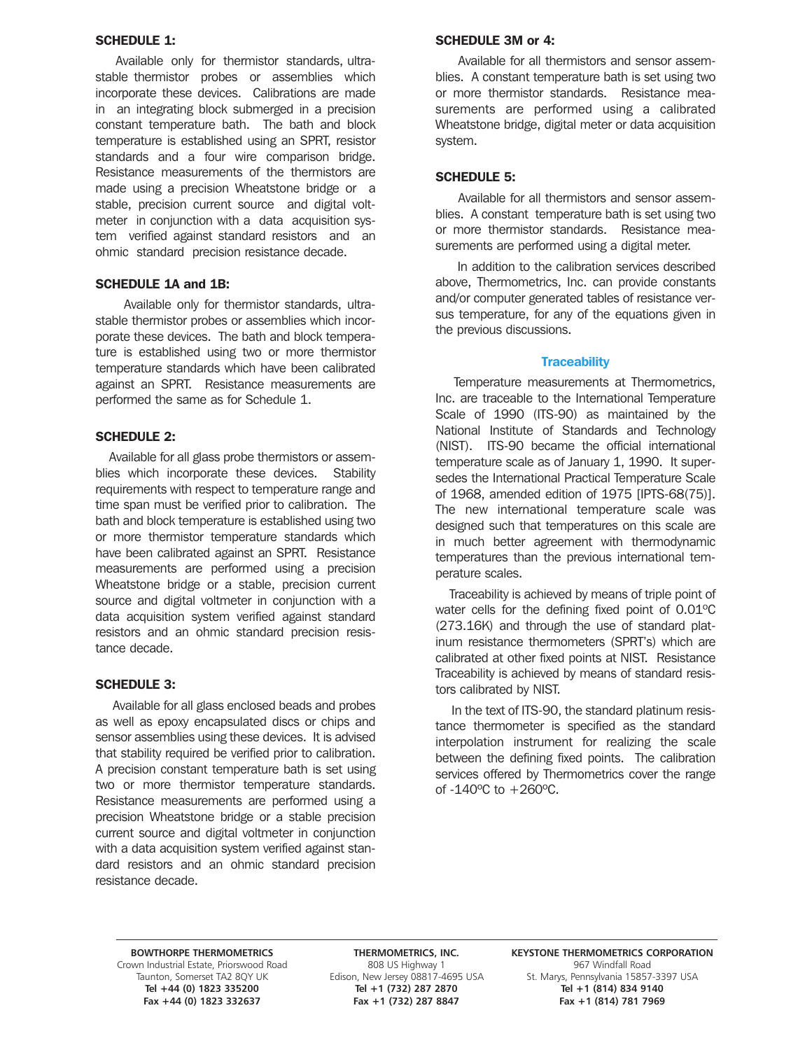### SCHEDULE 1:

Available only for thermistor standards, ultrastable thermistor probes or assemblies which incorporate these devices. Calibrations are made in an integrating block submerged in a precision constant temperature bath. The bath and block temperature is established using an SPRT, resistor standards and a four wire comparison bridge. Resistance measurements of the thermistors are made using a precision Wheatstone bridge or a stable, precision current source and digital voltmeter in conjunction with a data acquisition system verified against standard resistors and an ohmic standard precision resistance decade.

### SCHEDULE 1A and 1B:

Available only for thermistor standards, ultrastable thermistor probes or assemblies which incorporate these devices. The bath and block temperature is established using two or more thermistor temperature standards which have been calibrated against an SPRT. Resistance measurements are performed the same as for Schedule 1.

### SCHEDULE 2:

Available for all glass probe thermistors or assemblies which incorporate these devices. Stability requirements with respect to temperature range and time span must be verified prior to calibration. The bath and block temperature is established using two or more thermistor temperature standards which have been calibrated against an SPRT. Resistance measurements are performed using a precision Wheatstone bridge or a stable, precision current source and digital voltmeter in conjunction with a data acquisition system verified against standard resistors and an ohmic standard precision resistance decade.

### SCHEDULE 3:

Available for all glass enclosed beads and probes as well as epoxy encapsulated discs or chips and sensor assemblies using these devices. It is advised that stability required be verified prior to calibration. A precision constant temperature bath is set using two or more thermistor temperature standards. Resistance measurements are performed using a precision Wheatstone bridge or a stable precision current source and digital voltmeter in conjunction with a data acquisition system verified against standard resistors and an ohmic standard precision resistance decade.

### SCHEDULE 3M or 4:

Available for all thermistors and sensor assemblies. A constant temperature bath is set using two or more thermistor standards. Resistance measurements are performed using a calibrated Wheatstone bridge, digital meter or data acquisition system.

### SCHEDULE 5:

Available for all thermistors and sensor assemblies. A constant temperature bath is set using two or more thermistor standards. Resistance measurements are performed using a digital meter.

In addition to the calibration services described above, Thermometrics, Inc. can provide constants and/or computer generated tables of resistance versus temperature, for any of the equations given in the previous discussions.

### **Traceability**

Temperature measurements at Thermometrics, Inc. are traceable to the International Temperature Scale of 1990 (ITS-90) as maintained by the National Institute of Standards and Technology (NIST). ITS-90 became the official international temperature scale as of January 1, 1990. It supersedes the International Practical Temperature Scale of 1968, amended edition of 1975 [IPTS-68(75)]. The new international temperature scale was designed such that temperatures on this scale are in much better agreement with thermodynamic temperatures than the previous international temperature scales.

Traceability is achieved by means of triple point of water cells for the defining fixed point of 0.01ºC (273.16K) and through the use of standard platinum resistance thermometers (SPRT's) which are calibrated at other fixed points at NIST. Resistance Traceability is achieved by means of standard resistors calibrated by NIST.

In the text of ITS-90, the standard platinum resistance thermometer is specified as the standard interpolation instrument for realizing the scale between the defining fixed points. The calibration services offered by Thermometrics cover the range of -140ºC to +260ºC.

967 Windfall Road 1967 Windfall Road 1967 Windfall Road 1967 Windfall Road 1967 Windfall Road 1988 US Highway 1<br>15857 Taunton, Somerset TA2 80Y UK 1968 Edison, New Jersey 08817-4695 USA 1985. Marys, Pennsylvania Fax +44 (0) 1823 332637

**Tel +44 (0) 1823 335200 Tel +1 (732) 287 2870 Tel +1 (814) 834 9140**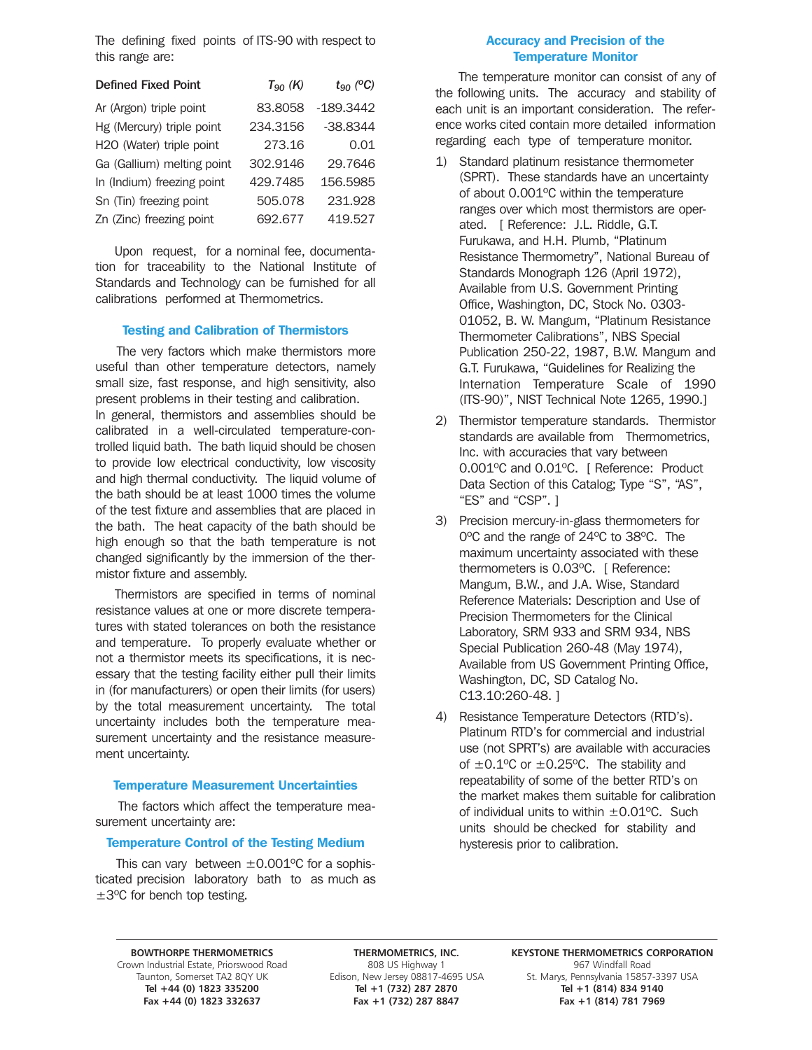The defining fixed points of ITS-90 with respect to this range are:

| <b>Defined Fixed Point</b> | $T_{90}$ (K) | $t_{90}$ (°C) |
|----------------------------|--------------|---------------|
| Ar (Argon) triple point    | 83.8058      | $-189.3442$   |
| Hg (Mercury) triple point  | 234.3156     | $-38.8344$    |
| H2O (Water) triple point   | 273.16       | 0.01          |
| Ga (Gallium) melting point | 302.9146     | 29.7646       |
| In (Indium) freezing point | 429.7485     | 156.5985      |
| Sn (Tin) freezing point    | 505.078      | 231.928       |
| Zn (Zinc) freezing point   | 692.677      | 419.527       |

Upon request, for a nominal fee, documentation for traceability to the National Institute of Standards and Technology can be furnished for all calibrations performed at Thermometrics.

### Testing and Calibration of Thermistors

The very factors which make thermistors more useful than other temperature detectors, namely small size, fast response, and high sensitivity, also present problems in their testing and calibration. In general, thermistors and assemblies should be calibrated in a well-circulated temperature-controlled liquid bath. The bath liquid should be chosen to provide low electrical conductivity, low viscosity and high thermal conductivity. The liquid volume of the bath should be at least 1000 times the volume of the test fixture and assemblies that are placed in the bath. The heat capacity of the bath should be high enough so that the bath temperature is not changed significantly by the immersion of the thermistor fixture and assembly.

Thermistors are specified in terms of nominal resistance values at one or more discrete temperatures with stated tolerances on both the resistance and temperature. To properly evaluate whether or not a thermistor meets its specifications, it is necessary that the testing facility either pull their limits in (for manufacturers) or open their limits (for users) by the total measurement uncertainty. The total uncertainty includes both the temperature measurement uncertainty and the resistance measurement uncertainty.

### Temperature Measurement Uncertainties

The factors which affect the temperature measurement uncertainty are:

### Temperature Control of the Testing Medium

This can vary between  $\pm 0.001$ <sup>o</sup>C for a sophisticated precision laboratory bath to as much as ±3ºC for bench top testing.

### Accuracy and Precision of the Temperature Monitor

The temperature monitor can consist of any of the following units. The accuracy and stability of each unit is an important consideration. The reference works cited contain more detailed information regarding each type of temperature monitor.

- 1) Standard platinum resistance thermometer (SPRT). These standards have an uncertainty of about 0.001ºC within the temperature ranges over which most thermistors are operated. [ Reference: J.L. Riddle, G.T. Furukawa, and H.H. Plumb, "Platinum Resistance Thermometry", National Bureau of Standards Monograph 126 (April 1972), Available from U.S. Government Printing Office, Washington, DC, Stock No. 0303- 01052, B. W. Mangum, "Platinum Resistance Thermometer Calibrations", NBS Special Publication 250-22, 1987, B.W. Mangum and G.T. Furukawa, "Guidelines for Realizing the Internation Temperature Scale of 1990 (ITS-90)", NIST Technical Note 1265, 1990.]
- 2) Thermistor temperature standards. Thermistor standards are available from Thermometrics, Inc. with accuracies that vary between 0.001ºC and 0.01ºC. [ Reference: Product Data Section of this Catalog; Type "S", "AS", "ES" and "CSP". ]
- 3) Precision mercury-in-glass thermometers for 0ºC and the range of 24ºC to 38ºC. The maximum uncertainty associated with these thermometers is 0.03ºC. [ Reference: Mangum, B.W., and J.A. Wise, Standard Reference Materials: Description and Use of Precision Thermometers for the Clinical Laboratory, SRM 933 and SRM 934, NBS Special Publication 260-48 (May 1974), Available from US Government Printing Office, Washington, DC, SD Catalog No. C13.10:260-48. ]
- 4) Resistance Temperature Detectors (RTD's). Platinum RTD's for commercial and industrial use (not SPRT's) are available with accuracies of  $\pm 0.1$ <sup>o</sup>C or  $\pm 0.25$ <sup>o</sup>C. The stability and repeatability of some of the better RTD's on the market makes them suitable for calibration of individual units to within  $\pm 0.01$  °C. Such units should be checked for stability and hysteresis prior to calibration.

967 Windfall Road 1967 Windfall Road 1967 Windfall Road 1967 Windfall Road 1967 Windfall Road 1988 US Highway 1<br>15857 Taunton, Somerset TA2 80Y UK 1968 Edison, New Jersey 08817-4695 USA 1985. Marys, Pennsylvania Fax +44 (0) 1823 332637 Fax +1 (732) 287 8847

**Tel +44 (0) 1823 335200 Tel +1 (732) 287 2870 Tel +1 (814) 834 9140**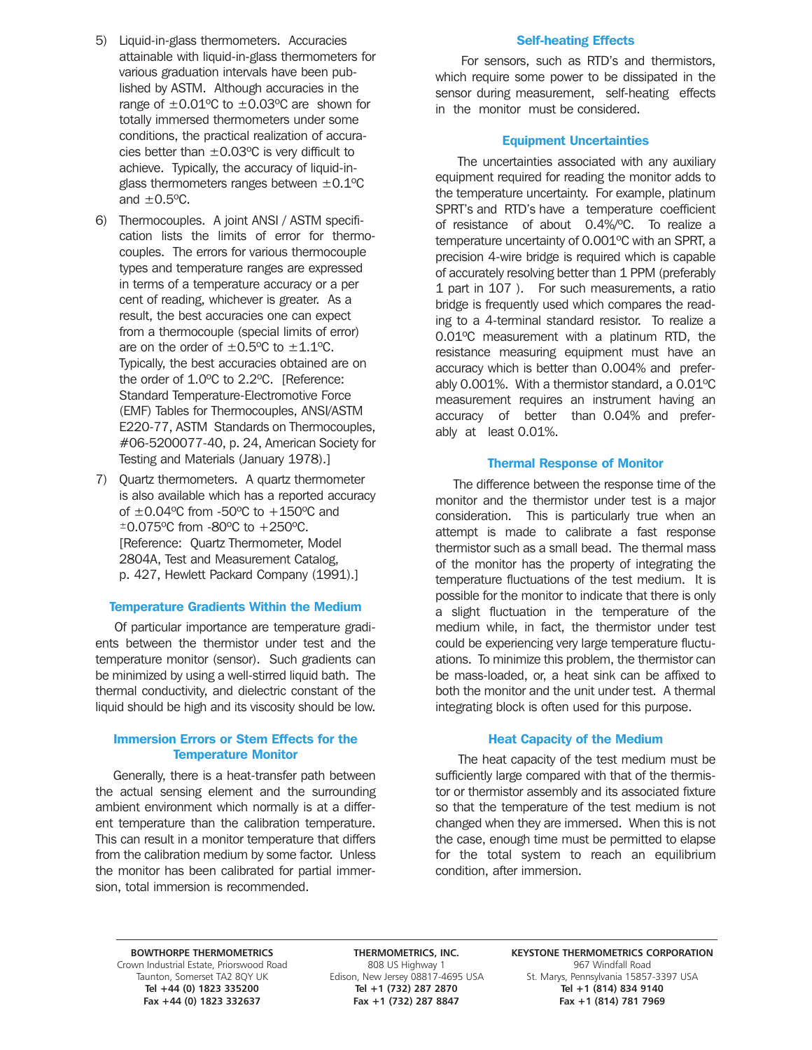- 5) Liquid-in-glass thermometers. Accuracies attainable with liquid-in-glass thermometers for various graduation intervals have been published by ASTM. Although accuracies in the range of  $\pm 0.01$ <sup>o</sup>C to  $\pm 0.03$ <sup>o</sup>C are shown for totally immersed thermometers under some conditions, the practical realization of accuracies better than  $\pm 0.03$ °C is very difficult to achieve. Typically, the accuracy of liquid-inglass thermometers ranges between  $\pm 0.1$ <sup>o</sup>C and  $\pm 0.5$ <sup>o</sup>C.
- 6) Thermocouples. A joint ANSI / ASTM specification lists the limits of error for thermocouples. The errors for various thermocouple types and temperature ranges are expressed in terms of a temperature accuracy or a per cent of reading, whichever is greater. As a result, the best accuracies one can expect from a thermocouple (special limits of error) are on the order of  $\pm 0.5$ °C to  $\pm 1.1$ °C. Typically, the best accuracies obtained are on the order of 1.0ºC to 2.2ºC. [Reference: Standard Temperature-Electromotive Force (EMF) Tables for Thermocouples, ANSI/ASTM E220-77, ASTM Standards on Thermocouples, #06-5200077-40, p. 24, American Society for Testing and Materials (January 1978).]
- 7) Quartz thermometers. A quartz thermometer is also available which has a reported accuracy of  $\pm 0.04$ <sup>o</sup>C from -50<sup>o</sup>C to  $+150$ <sup>o</sup>C and ±0.075ºC from -80ºC to +250ºC. [Reference: Quartz Thermometer, Model 2804A, Test and Measurement Catalog, p. 427, Hewlett Packard Company (1991).]

### Temperature Gradients Within the Medium

Of particular importance are temperature gradients between the thermistor under test and the temperature monitor (sensor). Such gradients can be minimized by using a well-stirred liquid bath. The thermal conductivity, and dielectric constant of the liquid should be high and its viscosity should be low.

### Immersion Errors or Stem Effects for the Temperature Monitor

Generally, there is a heat-transfer path between the actual sensing element and the surrounding ambient environment which normally is at a different temperature than the calibration temperature. This can result in a monitor temperature that differs from the calibration medium by some factor. Unless the monitor has been calibrated for partial immersion, total immersion is recommended.

### Self-heating Effects

For sensors, such as RTD's and thermistors, which require some power to be dissipated in the sensor during measurement, self-heating effects in the monitor must be considered.

### Equipment Uncertainties

The uncertainties associated with any auxiliary equipment required for reading the monitor adds to the temperature uncertainty. For example, platinum SPRT's and RTD's have a temperature coefficient of resistance of about 0.4%/ºC. To realize a temperature uncertainty of 0.001ºC with an SPRT, a precision 4-wire bridge is required which is capable of accurately resolving better than 1 PPM (preferably 1 part in 107 ). For such measurements, a ratio bridge is frequently used which compares the reading to a 4-terminal standard resistor. To realize a 0.01ºC measurement with a platinum RTD, the resistance measuring equipment must have an accuracy which is better than 0.004% and preferably 0.001%. With a thermistor standard, a 0.01ºC measurement requires an instrument having an accuracy of better than 0.04% and preferably at least 0.01%.

### Thermal Response of Monitor

The difference between the response time of the monitor and the thermistor under test is a major consideration. This is particularly true when an attempt is made to calibrate a fast response thermistor such as a small bead. The thermal mass of the monitor has the property of integrating the temperature fluctuations of the test medium. It is possible for the monitor to indicate that there is only a slight fluctuation in the temperature of the medium while, in fact, the thermistor under test could be experiencing very large temperature fluctuations. To minimize this problem, the thermistor can be mass-loaded, or, a heat sink can be affixed to both the monitor and the unit under test. A thermal integrating block is often used for this purpose.

### Heat Capacity of the Medium

The heat capacity of the test medium must be sufficiently large compared with that of the thermistor or thermistor assembly and its associated fixture so that the temperature of the test medium is not changed when they are immersed. When this is not the case, enough time must be permitted to elapse for the total system to reach an equilibrium condition, after immersion.

967 Windfall Road 1967 Windfall Road 1967 Windfall Road 1967 Windfall Road 1967 Windfall Road 1988 US Highway 1<br>15857 Taunton, Somerset TA2 80Y UK 1968 Edison, New Jersey 08817-4695 USA 1985. Marys, Pennsylvania

BOWTHORPE THERMOMETRICS **THERMOMETRICS, INC.** KEYSTONE THERMOMETRICS CORPORATION **Tel +44 (0) 1823 335200 Tel +1 (732) 287 2870 Tel +1 (814) 834 9140** Fax +1 (732) 287 8847

St. Marys, Pennsylvania 15857-3397 USA<br>**Tel +1 (814) 834 9140**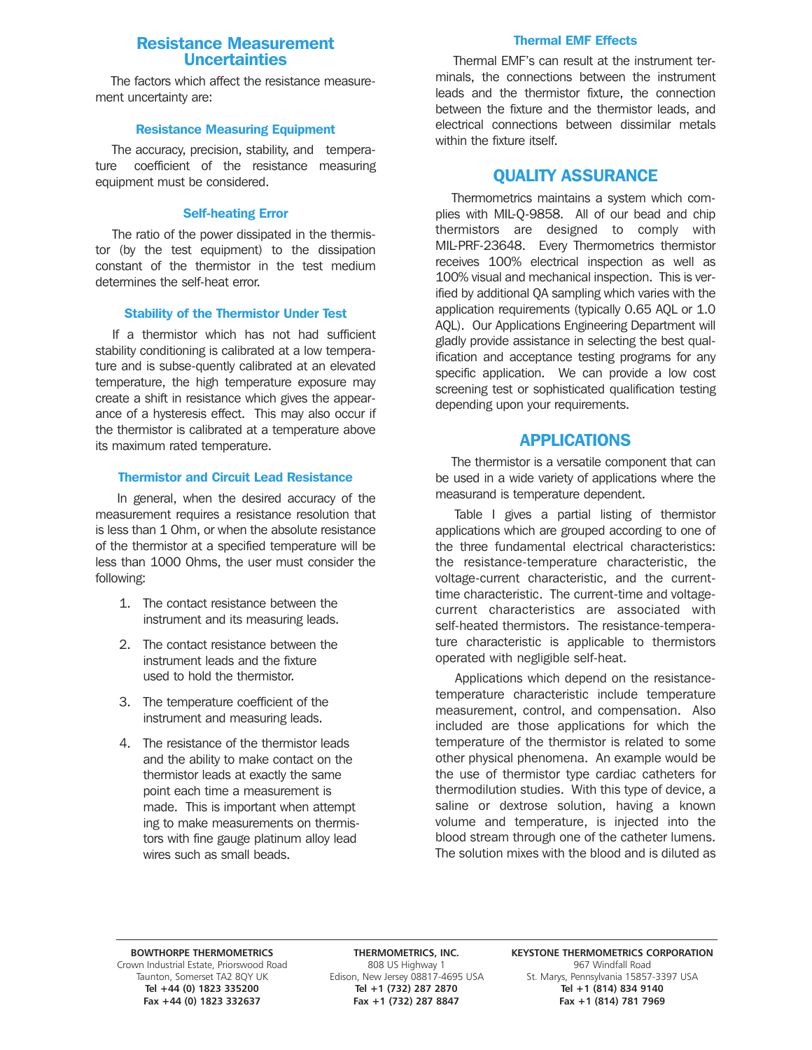# Resistance Measurement Uncertainties

The factors which affect the resistance measurement uncertainty are:

### Resistance Measuring Equipment

The accuracy, precision, stability, and temperature coefficient of the resistance measuring equipment must be considered.

### Self-heating Error

The ratio of the power dissipated in the thermistor (by the test equipment) to the dissipation constant of the thermistor in the test medium determines the self-heat error.

### Stability of the Thermistor Under Test

If a thermistor which has not had sufficient stability conditioning is calibrated at a low temperature and is subse-quently calibrated at an elevated temperature, the high temperature exposure may create a shift in resistance which gives the appearance of a hysteresis effect. This may also occur if the thermistor is calibrated at a temperature above its maximum rated temperature.

### Thermistor and Circuit Lead Resistance

In general, when the desired accuracy of the measurement requires a resistance resolution that is less than 1 Ohm, or when the absolute resistance of the thermistor at a specified temperature will be less than 1000 Ohms, the user must consider the following:

- 1. The contact resistance between the instrument and its measuring leads.
- 2. The contact resistance between the instrument leads and the fixture used to hold the thermistor.
- 3. The temperature coefficient of the instrument and measuring leads.
- 4. The resistance of the thermistor leads and the ability to make contact on the thermistor leads at exactly the same point each time a measurement is made. This is important when attempt ing to make measurements on thermistors with fine gauge platinum alloy lead wires such as small beads.

### Thermal EMF Effects

Thermal EMF's can result at the instrument terminals, the connections between the instrument leads and the thermistor fixture, the connection between the fixture and the thermistor leads, and electrical connections between dissimilar metals within the fixture itself.

# QUALITY ASSURANCE

Thermometrics maintains a system which complies with MIL-Q-9858. All of our bead and chip thermistors are designed to comply with MIL-PRF-23648. Every Thermometrics thermistor receives 100% electrical inspection as well as 100% visual and mechanical inspection. This is verified by additional QA sampling which varies with the application requirements (typically 0.65 AQL or 1.0 AQL). Our Applications Engineering Department will gladly provide assistance in selecting the best qualification and acceptance testing programs for any specific application. We can provide a low cost screening test or sophisticated qualification testing depending upon your requirements.

# APPLICATIONS

The thermistor is a versatile component that can be used in a wide variety of applications where the measurand is temperature dependent.

Table I gives a partial listing of thermistor applications which are grouped according to one of the three fundamental electrical characteristics: the resistance-temperature characteristic, the voltage-current characteristic, and the currenttime characteristic. The current-time and voltagecurrent characteristics are associated with self-heated thermistors. The resistance-temperature characteristic is applicable to thermistors operated with negligible self-heat.

Applications which depend on the resistancetemperature characteristic include temperature measurement, control, and compensation. Also included are those applications for which the temperature of the thermistor is related to some other physical phenomena. An example would be the use of thermistor type cardiac catheters for thermodilution studies. With this type of device, a saline or dextrose solution, having a known volume and temperature, is injected into the blood stream through one of the catheter lumens. The solution mixes with the blood and is diluted as

967 Windfall Road 1967 Windfall Road 1967 Windfall Road 1967 Windfall Road 1967 Windfall Road 1988 US Highway 1<br>15857 Taunton, Somerset TA2 80Y UK 1968 Edison, New Jersey 08817-4695 USA 1985. Marys, Pennsylvania Fax +44 (0) 1823 332637

**BOWTHORPE THERMOMETRICS THERMOMETRICS, INC. KEYSTONE THERMOMETRICS CORPORATION** unton, Somerset TA2 8QY UK Edison, New Jersey 08817-4695 USA St. Marys, Pennsylvania 15857-3397 USA<br>1914 Tel +44 (0) 1823 335200 Tel +1 (732) 287 2870 Tel +1 (814) 834 9140 **Tel +1 (732) 287 2870**<br> **Fax +1 (732) 287 8847**<br> **Fax +1 (814) 781 7969**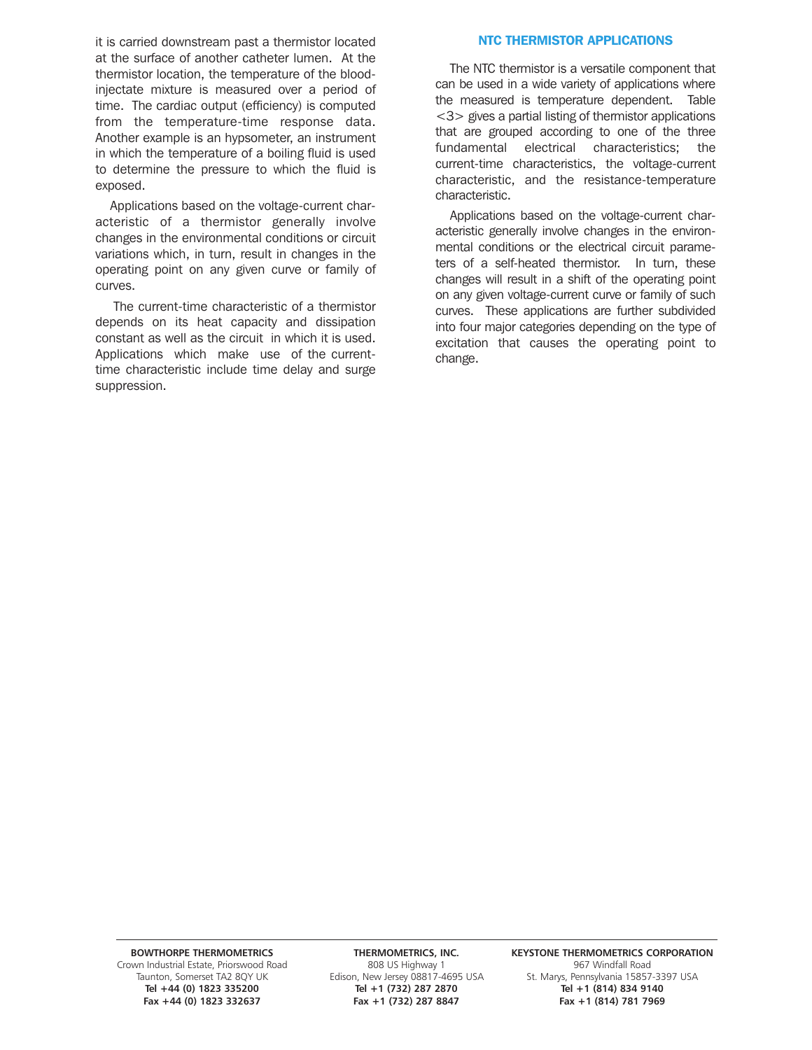it is carried downstream past a thermistor located at the surface of another catheter lumen. At the thermistor location, the temperature of the bloodinjectate mixture is measured over a period of time. The cardiac output (efficiency) is computed from the temperature-time response data. Another example is an hypsometer, an instrument in which the temperature of a boiling fluid is used to determine the pressure to which the fluid is exposed.

Applications based on the voltage-current characteristic of a thermistor generally involve changes in the environmental conditions or circuit variations which, in turn, result in changes in the operating point on any given curve or family of curves.

The current-time characteristic of a thermistor depends on its heat capacity and dissipation constant as well as the circuit in which it is used. Applications which make use of the currenttime characteristic include time delay and surge suppression.

### NTC THERMISTOR APPLICATIONS

The NTC thermistor is a versatile component that can be used in a wide variety of applications where the measured is temperature dependent. Table <3> gives a partial listing of thermistor applications that are grouped according to one of the three fundamental electrical characteristics; the current-time characteristics, the voltage-current characteristic, and the resistance-temperature characteristic.

Applications based on the voltage-current characteristic generally involve changes in the environmental conditions or the electrical circuit parameters of a self-heated thermistor. In turn, these changes will result in a shift of the operating point on any given voltage-current curve or family of such curves. These applications are further subdivided into four major categories depending on the type of excitation that causes the operating point to change.

967 Windfall Road 1967 Windfall Road 1967 Windfall Road 1967 Windfall Road 1967 Windfall Road 1988 US Highway 1<br>15857 Taunton, Somerset TA2 80Y UK 1968 Edison, New Jersey 08817-4695 USA 1985. Marys, Pennsylvania

Fax +1 (732) 287 8847

BOWTHORPE THERMOMETRICS **THERMOMETRICS, INC.** KEYSTONE THERMOMETRICS CORPORATION St. Marys, Pennsylvania 15857-3397 USA<br>Tel +1 (814) 834 9140 **Tel +44 (0) 1823 335200 Tel +1 (732) 287 2870 Tel +1 (814) 834 9140**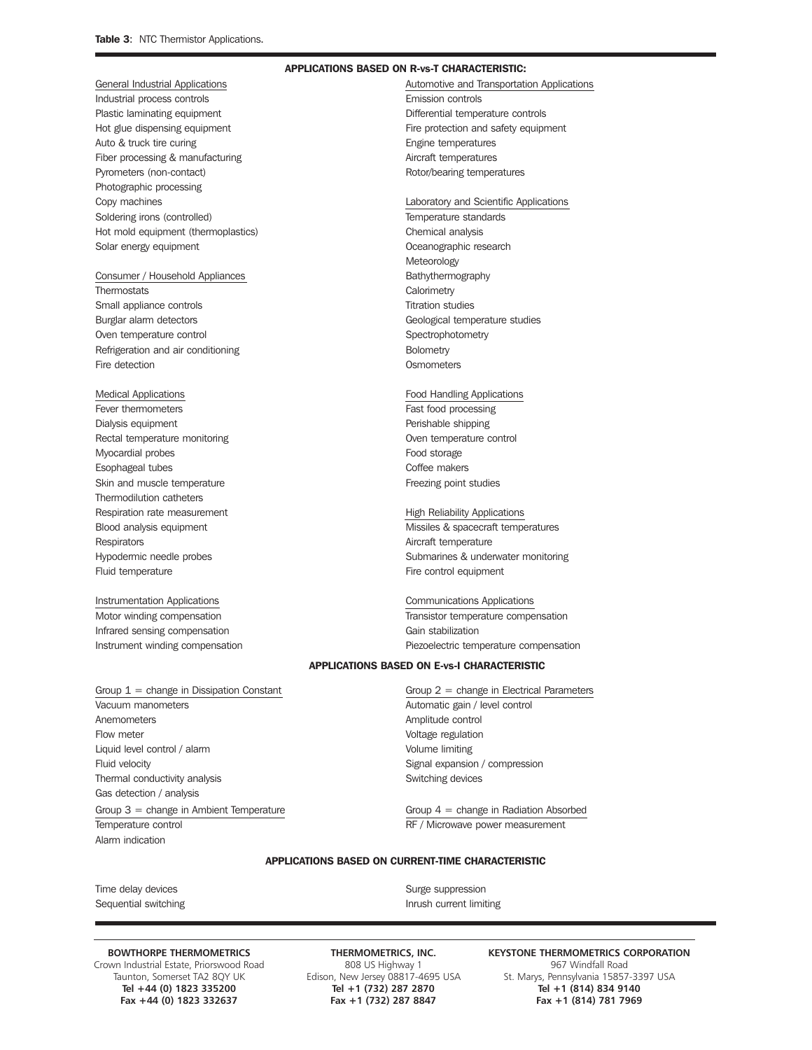Industrial process controls Emission controls Plastic laminating equipment **Differential temperature controls** Auto & truck tire curing entitled and the control of the Engine temperatures Fiber processing & manufacturing and a settlem and the Micraft temperatures Pyrometers (non-contact) and the content of the Rotor/bearing temperatures Photographic processing Copy machines Laboratory and Scientific Applications Soldering irons (controlled) Temperature standards Hot mold equipment (thermoplastics) example the chemical analysis Solar energy equipment **Constanting Community** Coeanographic research

### Consumer / Household Appliances **Bathythermography**

Thermostats Calorimetry Small appliance controls Titration studies Burglar alarm detectors and the studies of Geological temperature studies Oven temperature control example of the spectrophotometry spectrophotometry Refrigeration and air conditioning example and the Bolometry Fire detection **Contract Contract Contract Contract Contract Contract Contract Contract Contract Contract Contract Contract Contract Contract Contract Contract Contract Contract Contract Contract Contract Contract Contract** 

Fever thermometers **Fast food processing** Dialysis equipment **Perishable shipping Perishable shipping** Rectal temperature monitoring example of the control oven temperature control Myocardial probes Food storage Esophageal tubes **Coffee makers** Skin and muscle temperature **Figure 2018** Freezing point studies Thermodilution catheters Respiration rate measurement High Reliability Applications Respirators **Aircraft temperature** Aircraft temperature Fluid temperature **Fire control equipment** Fire control equipment

Infrared sensing compensation Gain stabilization Gain stabilization

### Group 1 = change in Dissipation Constant Group 2 = change in Electrical Parameters Vacuum manometers **Automatic gain / level control** Anemometers **Amplitude control** Flow meter **Flow** meter Liquid level control / alarm Volume limiting Fluid velocity Signal expansion / compression Thermal conductivity analysis **Switching devices** Switching devices Gas detection / analysis

Group 3 = change in Ambient Temperature Group 4 = change in Radiation Absorbed Temperature control and a state of the RF / Microwave power measurement Alarm indication

### APPLICATIONS BASED ON R-vs-T CHARACTERISTIC:

General Industrial Applications **Automotive and Transportation Applications** Automotive and Transportation Applications Hot glue dispensing equipment **Fire protection and safety equipment** Fire protection and safety equipment

# **Meteorology**

### Medical Applications Food Handling Applications

# Blood analysis equipment **Missiles & spacecraft temperatures** Hypodermic needle probes Submarines & underwater monitoring

Instrumentation Applications Communications Applications Motor winding compensation Transistor temperature compensation Transistor temperature compensation Instrument winding compensation Piezoelectric temperature compensation

### APPLICATIONS BASED ON E-vs-I CHARACTERISTIC

### APPLICATIONS BASED ON CURRENT-TIME CHARACTERISTIC

Time delay devices and the state of the state of the Surge suppression Sequential switching **Internal Sequential Switching** Inrush current limiting

Grown Industrial Estate, Priorswood Road 808 US Highway 1 967 Windfall Road 808 US Highway 1 967 Windfall Road<br>Taunton, Somerset TA2 8QY UK Edison, New Jersey 08817-4695 USA 5t. Marys, Pennsylvania 15857

Fax +1 (732) 287 8847

**BOWTHORPE THERMOMETRICS THERMOMETRICS, INC. KEYSTONE THERMOMETRICS CORPORATION** n, New Jersey 08817-4695 USA St. Marys, Pennsylvania 15857-3397 USA<br>Tel +1 (732) 287 2870 Tel +1 (814) 834 9140 **Tel +44 (0) 1823 335200 Tel +1 (732) 287 2870 Tel +1 (814) 834 9140**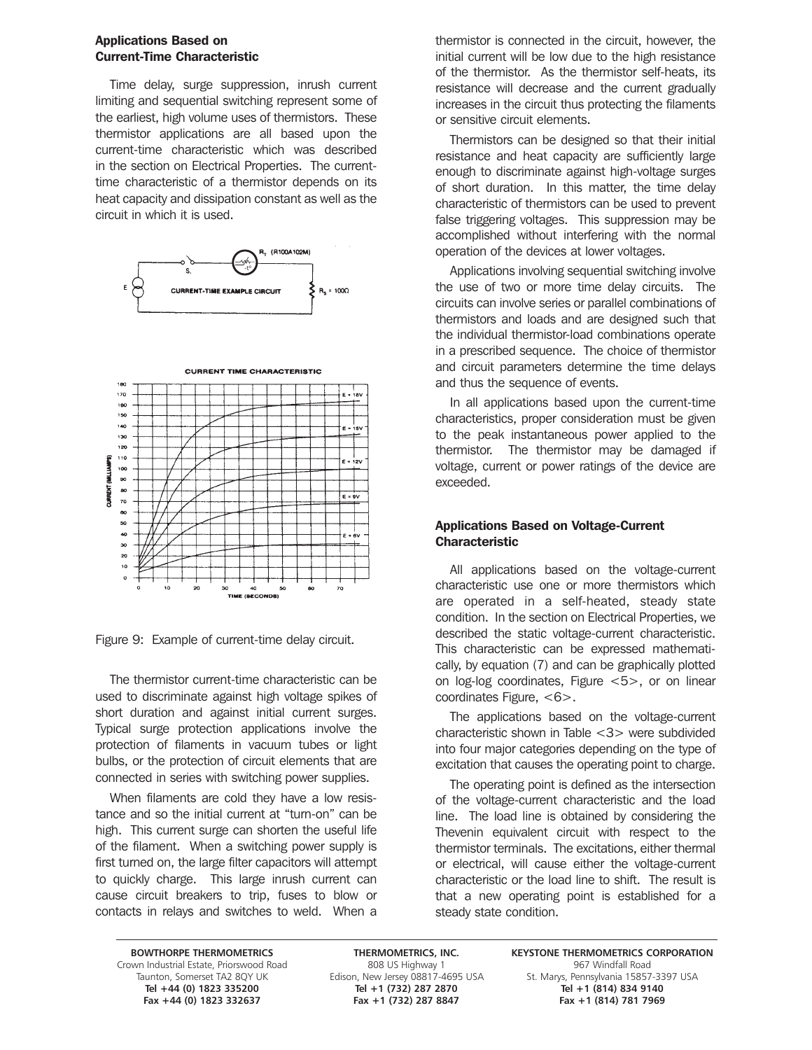### Applications Based on Current-Time Characteristic

Time delay, surge suppression, inrush current limiting and sequential switching represent some of the earliest, high volume uses of thermistors. These thermistor applications are all based upon the current-time characteristic which was described in the section on Electrical Properties. The currenttime characteristic of a thermistor depends on its heat capacity and dissipation constant as well as the circuit in which it is used.







Figure 9: Example of current-time delay circuit.

The thermistor current-time characteristic can be used to discriminate against high voltage spikes of short duration and against initial current surges. Typical surge protection applications involve the protection of filaments in vacuum tubes or light bulbs, or the protection of circuit elements that are connected in series with switching power supplies.

When filaments are cold they have a low resistance and so the initial current at "turn-on" can be high. This current surge can shorten the useful life of the filament. When a switching power supply is first turned on, the large filter capacitors will attempt to quickly charge. This large inrush current can cause circuit breakers to trip, fuses to blow or contacts in relays and switches to weld. When a

thermistor is connected in the circuit, however, the initial current will be low due to the high resistance of the thermistor. As the thermistor self-heats, its resistance will decrease and the current gradually increases in the circuit thus protecting the filaments or sensitive circuit elements.

Thermistors can be designed so that their initial resistance and heat capacity are sufficiently large enough to discriminate against high-voltage surges of short duration. In this matter, the time delay characteristic of thermistors can be used to prevent false triggering voltages. This suppression may be accomplished without interfering with the normal operation of the devices at lower voltages.

Applications involving sequential switching involve the use of two or more time delay circuits. The circuits can involve series or parallel combinations of thermistors and loads and are designed such that the individual thermistor-load combinations operate in a prescribed sequence. The choice of thermistor and circuit parameters determine the time delays and thus the sequence of events.

In all applications based upon the current-time characteristics, proper consideration must be given to the peak instantaneous power applied to the thermistor. The thermistor may be damaged if voltage, current or power ratings of the device are exceeded.

### Applications Based on Voltage-Current Characteristic

All applications based on the voltage-current characteristic use one or more thermistors which are operated in a self-heated, steady state condition. In the section on Electrical Properties, we described the static voltage-current characteristic. This characteristic can be expressed mathematically, by equation (7) and can be graphically plotted on log-log coordinates, Figure <5>, or on linear coordinates Figure, <6>.

The applications based on the voltage-current characteristic shown in Table <3> were subdivided into four major categories depending on the type of excitation that causes the operating point to charge.

The operating point is defined as the intersection of the voltage-current characteristic and the load line. The load line is obtained by considering the Thevenin equivalent circuit with respect to the thermistor terminals. The excitations, either thermal or electrical, will cause either the voltage-current characteristic or the load line to shift. The result is that a new operating point is established for a steady state condition.

Grown Industrial Estate, Priorswood Road 808 US Highway 1 967 Windfall Road 808 US Highway 1 967 Windfall Road<br>Taunton, Somerset TA2 8QY UK Edison, New Jersey 08817-4695 USA 5t. Marys, Pennsylvania 15857 **Fax +44 (0) 1823 332637 Fax +1 (732) 287 8847 Fax +1 (814) 781 7969**

**Tel +44 (0) 1823 335200 Tel +1 (732) 287 2870 Tel +1 (814) 834 9140**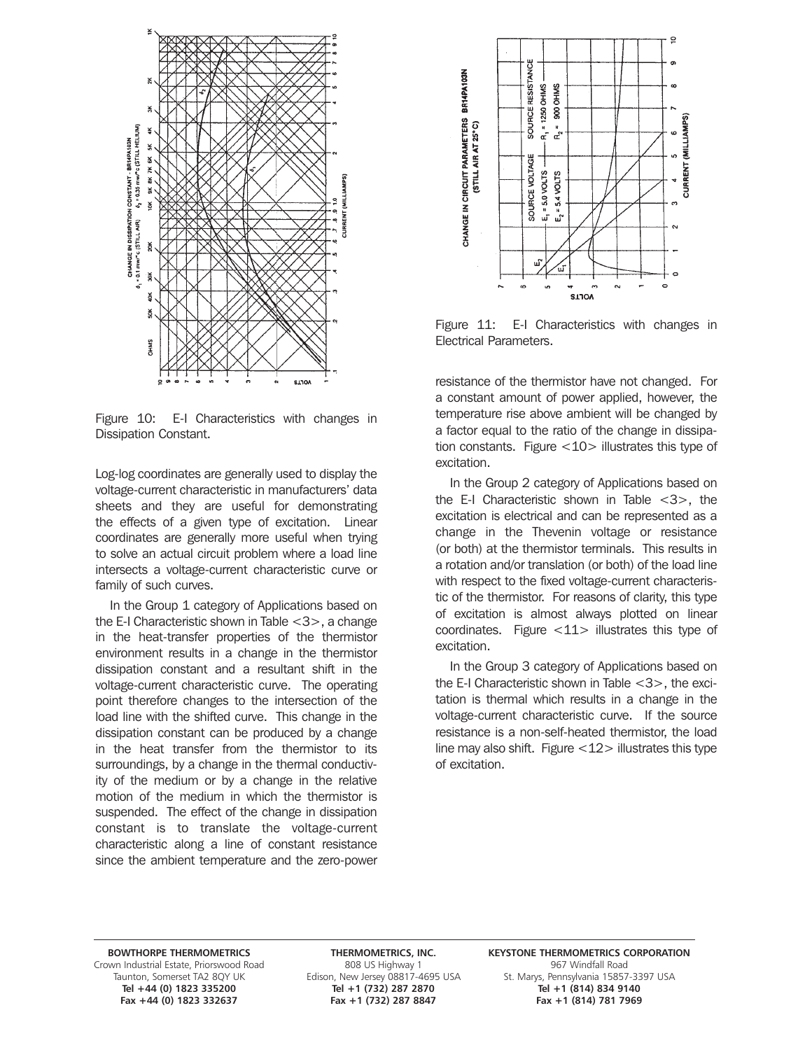

Figure 10: E-I Characteristics with changes in Dissipation Constant.

Log-log coordinates are generally used to display the voltage-current characteristic in manufacturers' data sheets and they are useful for demonstrating the effects of a given type of excitation. Linear coordinates are generally more useful when trying to solve an actual circuit problem where a load line intersects a voltage-current characteristic curve or family of such curves.

In the Group 1 category of Applications based on the E-I Characteristic shown in Table <3>, a change in the heat-transfer properties of the thermistor environment results in a change in the thermistor dissipation constant and a resultant shift in the voltage-current characteristic curve. The operating point therefore changes to the intersection of the load line with the shifted curve. This change in the dissipation constant can be produced by a change in the heat transfer from the thermistor to its surroundings, by a change in the thermal conductivity of the medium or by a change in the relative motion of the medium in which the thermistor is suspended. The effect of the change in dissipation constant is to translate the voltage-current characteristic along a line of constant resistance since the ambient temperature and the zero-power



Figure 11: E-I Characteristics with changes in Electrical Parameters.

resistance of the thermistor have not changed. For a constant amount of power applied, however, the temperature rise above ambient will be changed by a factor equal to the ratio of the change in dissipation constants. Figure  $<$  10 $>$  illustrates this type of excitation.

In the Group 2 category of Applications based on the E-I Characteristic shown in Table  $<$ 3 $>$ , the excitation is electrical and can be represented as a change in the Thevenin voltage or resistance (or both) at the thermistor terminals. This results in a rotation and/or translation (or both) of the load line with respect to the fixed voltage-current characteristic of the thermistor. For reasons of clarity, this type of excitation is almost always plotted on linear coordinates. Figure <11> illustrates this type of excitation.

In the Group 3 category of Applications based on the E-I Characteristic shown in Table <3>, the excitation is thermal which results in a change in the voltage-current characteristic curve. If the source resistance is a non-self-heated thermistor, the load line may also shift. Figure  $\langle 12 \rangle$  illustrates this type of excitation.

Grown Industrial Estate, Priorswood Road 808 US Highway 1 967 Windfall Road 808 US Highway 1 967 Windfall Road<br>Taunton, Somerset TA2 8QY UK Edison, New Jersey 08817-4695 USA 5t. Marys, Pennsylvania 15857 Fax +44 (0) 1823 332637

**Tel +44 (0) 1823 335200 Tel +1 (732) 287 2870 Tel +1 (814) 834 9140**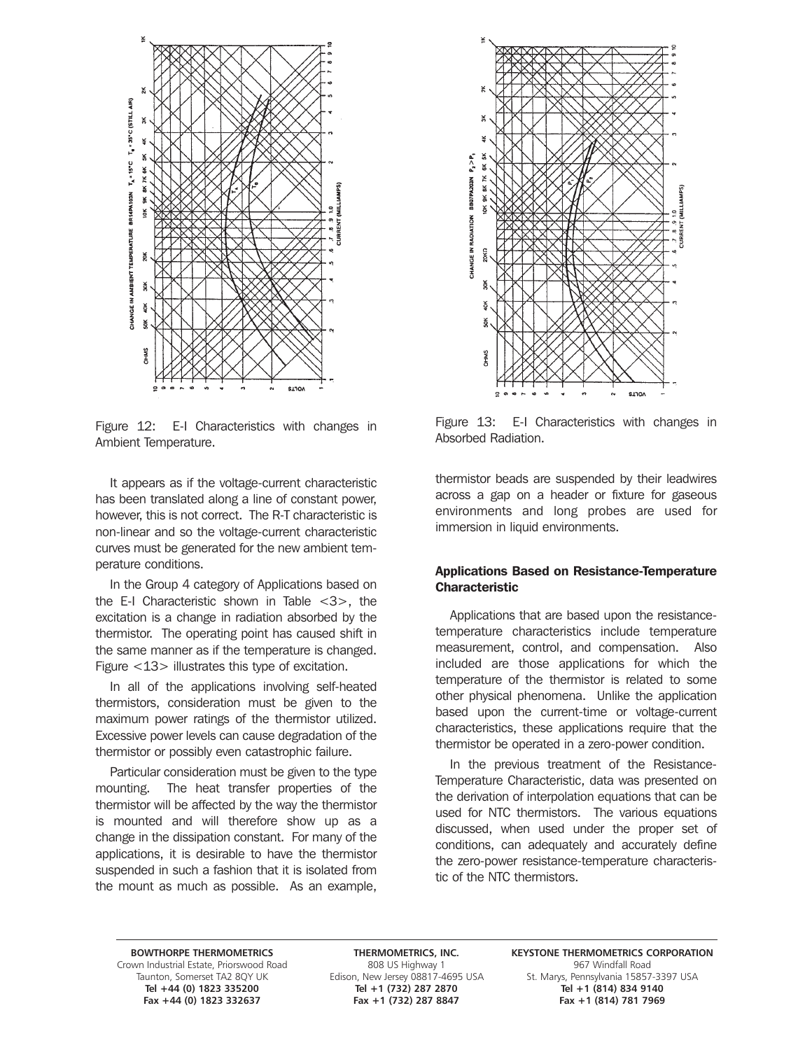

Figure 12: E-I Characteristics with changes in Ambient Temperature.

It appears as if the voltage-current characteristic has been translated along a line of constant power, however, this is not correct. The R-T characteristic is non-linear and so the voltage-current characteristic curves must be generated for the new ambient temperature conditions.

In the Group 4 category of Applications based on the E-I Characteristic shown in Table  $\langle 3 \rangle$ , the excitation is a change in radiation absorbed by the thermistor. The operating point has caused shift in the same manner as if the temperature is changed. Figure <13> illustrates this type of excitation.

In all of the applications involving self-heated thermistors, consideration must be given to the maximum power ratings of the thermistor utilized. Excessive power levels can cause degradation of the thermistor or possibly even catastrophic failure.

Particular consideration must be given to the type mounting. The heat transfer properties of the thermistor will be affected by the way the thermistor is mounted and will therefore show up as a change in the dissipation constant. For many of the applications, it is desirable to have the thermistor suspended in such a fashion that it is isolated from the mount as much as possible. As an example,



Figure 13: E-I Characteristics with changes in Absorbed Radiation.

thermistor beads are suspended by their leadwires across a gap on a header or fixture for gaseous environments and long probes are used for immersion in liquid environments.

### Applications Based on Resistance-Temperature **Characteristic**

Applications that are based upon the resistancetemperature characteristics include temperature measurement, control, and compensation. Also included are those applications for which the temperature of the thermistor is related to some other physical phenomena. Unlike the application based upon the current-time or voltage-current characteristics, these applications require that the thermistor be operated in a zero-power condition.

In the previous treatment of the Resistance-Temperature Characteristic, data was presented on the derivation of interpolation equations that can be used for NTC thermistors. The various equations discussed, when used under the proper set of conditions, can adequately and accurately define the zero-power resistance-temperature characteristic of the NTC thermistors.

Grown Industrial Estate, Priorswood Road 808 US Highway 1 967 Windfall Road 808 US Highway 1 967 Windfall Road<br>Taunton, Somerset TA2 8QY UK Edison, New Jersey 08817-4695 USA 5t. Marys, Pennsylvania 15857 Fax +44 (0) 1823 332637

**Tel +44 (0) 1823 335200 Tel +1 (732) 287 2870 Tel +1 (814) 834 9140**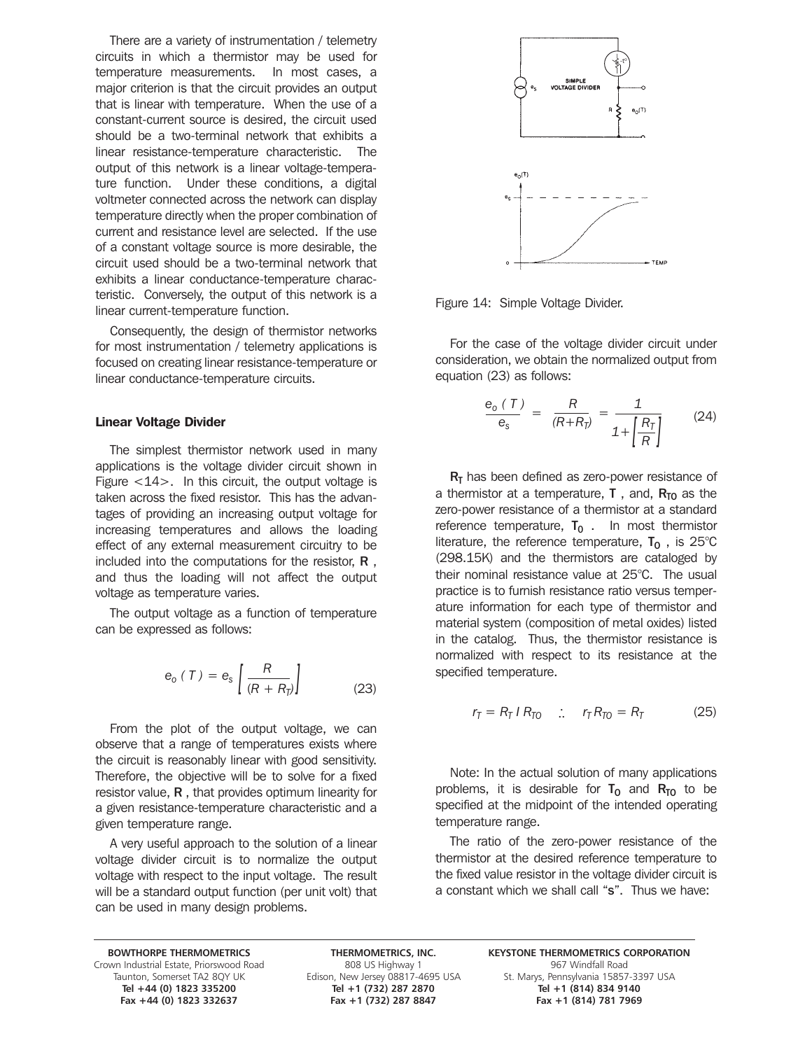There are a variety of instrumentation / telemetry circuits in which a thermistor may be used for temperature measurements. In most cases, a major criterion is that the circuit provides an output that is linear with temperature. When the use of a constant-current source is desired, the circuit used should be a two-terminal network that exhibits a linear resistance-temperature characteristic. The output of this network is a linear voltage-temperature function. Under these conditions, a digital voltmeter connected across the network can display temperature directly when the proper combination of current and resistance level are selected. If the use of a constant voltage source is more desirable, the circuit used should be a two-terminal network that exhibits a linear conductance-temperature characteristic. Conversely, the output of this network is a linear current-temperature function.

Consequently, the design of thermistor networks for most instrumentation / telemetry applications is focused on creating linear resistance-temperature or linear conductance-temperature circuits.

### Linear Voltage Divider

The simplest thermistor network used in many applications is the voltage divider circuit shown in Figure <14>. In this circuit, the output voltage is taken across the fixed resistor. This has the advantages of providing an increasing output voltage for increasing temperatures and allows the loading effect of any external measurement circuitry to be included into the computations for the resistor,  $\bf R$ , and thus the loading will not affect the output voltage as temperature varies.

The output voltage as a function of temperature can be expressed as follows:

$$
e_o(T) = e_s \left[ \frac{R}{(R + R_p)} \right] \tag{23}
$$

From the plot of the output voltage, we can observe that a range of temperatures exists where the circuit is reasonably linear with good sensitivity. Therefore, the objective will be to solve for a fixed resistor value, R , that provides optimum linearity for a given resistance-temperature characteristic and a given temperature range.

A very useful approach to the solution of a linear voltage divider circuit is to normalize the output voltage with respect to the input voltage. The result will be a standard output function (per unit volt) that can be used in many design problems.



Figure 14: Simple Voltage Divider.

For the case of the voltage divider circuit under consideration, we obtain the normalized output from equation (23) as follows:

$$
\frac{e_0(T)}{e_s} = \frac{R}{(R+R_T)} = \frac{1}{1+\left[\frac{R_T}{R}\right]}
$$
(24)

 $R<sub>T</sub>$  has been defined as zero-power resistance of a thermistor at a temperature, **T**, and,  $R_{TO}$  as the zero-power resistance of a thermistor at a standard reference temperature,  $T_0$ . In most thermistor literature, the reference temperature,  $T_0$ , is 25°C (298.15K) and the thermistors are cataloged by their nominal resistance value at 25°C. The usual practice is to furnish resistance ratio versus temperature information for each type of thermistor and material system (composition of metal oxides) listed in the catalog. Thus, the thermistor resistance is normalized with respect to its resistance at the specified temperature.

$$
r_T = R_T I R_{T0} \quad \therefore \quad r_T R_{T0} = R_T \tag{25}
$$

Note: In the actual solution of many applications problems, it is desirable for  $T_0$  and  $R_{\overline{10}}$  to be specified at the midpoint of the intended operating temperature range.

The ratio of the zero-power resistance of the thermistor at the desired reference temperature to the fixed value resistor in the voltage divider circuit is a constant which we shall call "s". Thus we have:

Grown Industrial Estate, Priorswood Road 808 US Highway 1 967 Windfall Road 808 US Highway 1 967 Windfall Road<br>Taunton, Somerset TA2 8QY UK Edison, New Jersey 08817-4695 USA 5t. Marys, Pennsylvania 15857 Fax +44 (0) 1823 332637 Fax +1 (732) 287 8847

**Tel +44 (0) 1823 335200 Tel +1 (732) 287 2870 Tel +1 (814) 834 9140**

**BOWTHORPE THERMOMETRICS THERMOMETRICS, INC. KEYSTONE THERMOMETRICS CORPORATION** n, New Jersey 08817-4695 USA St. Marys, Pennsylvania 15857-3397 USA<br>Tel +1 (732) 287 2870 Tel +1 (814) 834 9140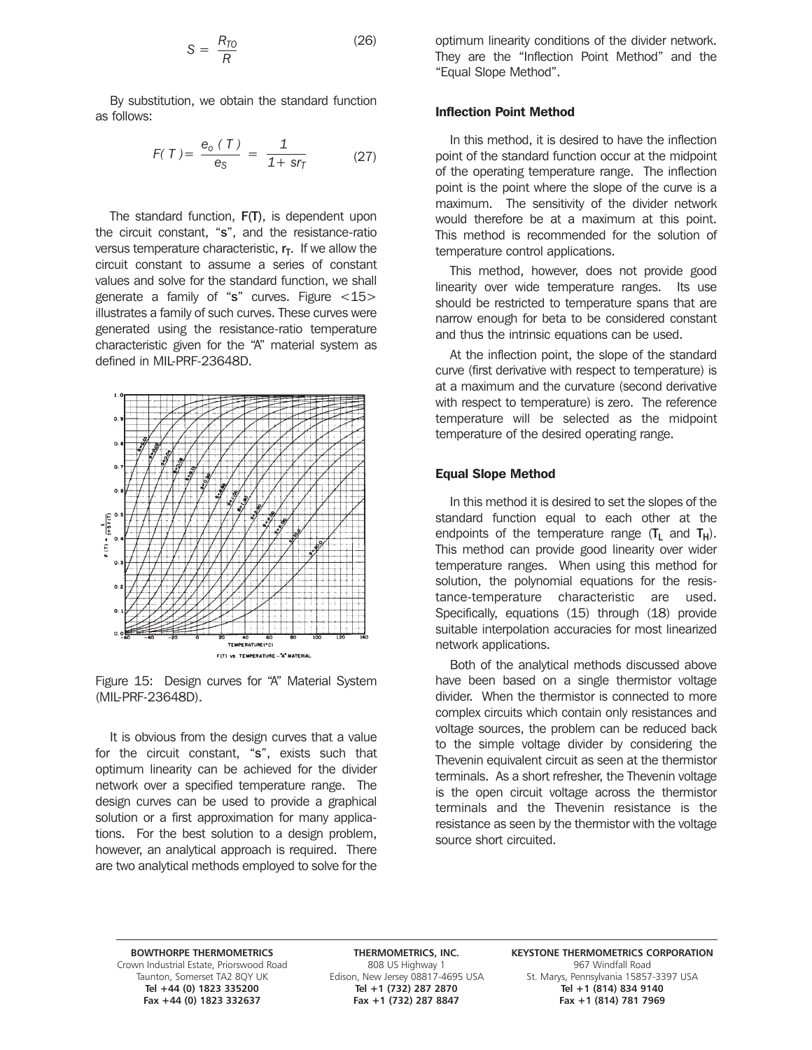$$
S = \frac{R_{T0}}{R} \tag{26}
$$

By substitution, we obtain the standard function as follows:

$$
F(T) = \frac{e_0(T)}{e_S} = \frac{1}{1 + s r_T}
$$
 (27)

The standard function, F(T), is dependent upon the circuit constant, "s", and the resistance-ratio versus temperature characteristic,  $r<sub>T</sub>$ . If we allow the circuit constant to assume a series of constant values and solve for the standard function, we shall generate a family of "s" curves. Figure <15> illustrates a family of such curves. These curves were generated using the resistance-ratio temperature characteristic given for the "A" material system as defined in MIL-PRF-23648D.



Figure 15: Design curves for "A" Material System (MIL-PRF-23648D).

It is obvious from the design curves that a value for the circuit constant, "s", exists such that optimum linearity can be achieved for the divider network over a specified temperature range. The design curves can be used to provide a graphical solution or a first approximation for many applications. For the best solution to a design problem, however, an analytical approach is required. There are two analytical methods employed to solve for the

optimum linearity conditions of the divider network. They are the "Inflection Point Method" and the "Equal Slope Method".

### Inflection Point Method

In this method, it is desired to have the inflection point of the standard function occur at the midpoint of the operating temperature range. The inflection point is the point where the slope of the curve is a maximum. The sensitivity of the divider network would therefore be at a maximum at this point. This method is recommended for the solution of temperature control applications.

This method, however, does not provide good linearity over wide temperature ranges. Its use should be restricted to temperature spans that are narrow enough for beta to be considered constant and thus the intrinsic equations can be used.

At the inflection point, the slope of the standard curve (first derivative with respect to temperature) is at a maximum and the curvature (second derivative with respect to temperature) is zero. The reference temperature will be selected as the midpoint temperature of the desired operating range.

### Equal Slope Method

In this method it is desired to set the slopes of the standard function equal to each other at the endpoints of the temperature range  $(T_L$  and  $T_H$ ). This method can provide good linearity over wider temperature ranges. When using this method for solution, the polynomial equations for the resistance-temperature characteristic are used. Specifically, equations (15) through (18) provide suitable interpolation accuracies for most linearized network applications.

Both of the analytical methods discussed above have been based on a single thermistor voltage divider. When the thermistor is connected to more complex circuits which contain only resistances and voltage sources, the problem can be reduced back to the simple voltage divider by considering the Thevenin equivalent circuit as seen at the thermistor terminals. As a short refresher, the Thevenin voltage is the open circuit voltage across the thermistor terminals and the Thevenin resistance is the resistance as seen by the thermistor with the voltage source short circuited.

Grown Industrial Estate, Priorswood Road 808 US Highway 1 967 Windfall Road 808 US Highway 1 967 Windfall Road<br>Taunton, Somerset TA2 8QY UK Edison, New Jersey 08817-4695 USA 5t. Marys, Pennsylvania 15857

**Tel +44 (0) 1823 335200 Tel +1 (732) 287 2870 Tel +1 (814) 834 9140** Fax +1 (732) 287 8847

**BOWTHORPE THERMOMETRICS THERMOMETRICS, INC. KEYSTONE THERMOMETRICS CORPORATION** n, New Jersey 08817-4695 USA St. Marys, Pennsylvania 15857-3397 USA<br>Tel +1 (732) 287 2870 Tel +1 (814) 834 9140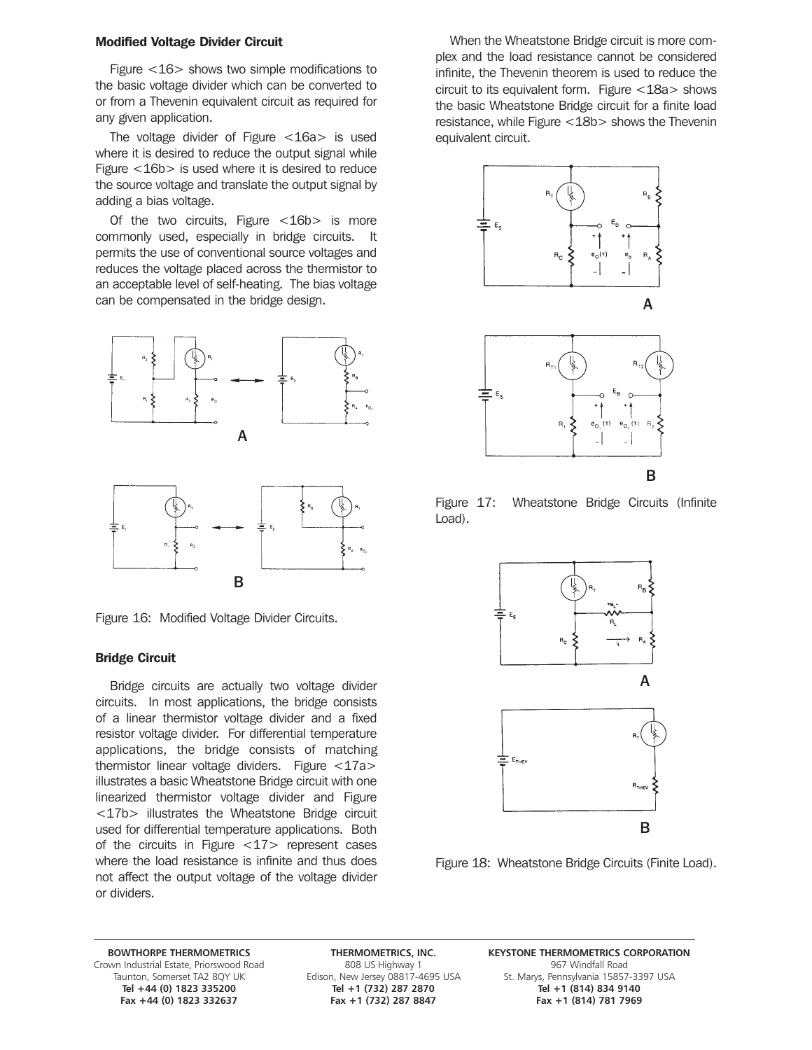### Modified Voltage Divider Circuit

Figure <16> shows two simple modifications to the basic voltage divider which can be converted to or from a Thevenin equivalent circuit as required for any given application.

The voltage divider of Figure <16a> is used where it is desired to reduce the output signal while Figure <16b> is used where it is desired to reduce the source voltage and translate the output signal by adding a bias voltage.

Of the two circuits, Figure  $<$ 16b $>$  is more commonly used, especially in bridge circuits. It permits the use of conventional source voltages and reduces the voltage placed across the thermistor to an acceptable level of self-heating. The bias voltage can be compensated in the bridge design.



B

Figure 16: Modified Voltage Divider Circuits.

### Bridge Circuit

Bridge circuits are actually two voltage divider circuits. In most applications, the bridge consists of a linear thermistor voltage divider and a fixed resistor voltage divider. For differential temperature applications, the bridge consists of matching thermistor linear voltage dividers. Figure <17a> illustrates a basic Wheatstone Bridge circuit with one linearized thermistor voltage divider and Figure <17b> illustrates the Wheatstone Bridge circuit used for differential temperature applications. Both of the circuits in Figure <17> represent cases where the load resistance is infinite and thus does not affect the output voltage of the voltage divider or dividers.

When the Wheatstone Bridge circuit is more complex and the load resistance cannot be considered infinite, the Thevenin theorem is used to reduce the circuit to its equivalent form. Figure <18a> shows the basic Wheatstone Bridge circuit for a finite load resistance, while Figure <18b> shows the Thevenin equivalent circuit.



Figure 17: Wheatstone Bridge Circuits (Infinite Load).



Figure 18: Wheatstone Bridge Circuits (Finite Load).

Grown Industrial Estate, Priorswood Road 808 US Highway 1 967 Windfall Road 808 US Highway 1 967 Windfall Road<br>Taunton, Somerset TA2 8QY UK Edison, New Jersey 08817-4695 USA 5t. Marys, Pennsylvania 15857 **Fax +44 (0) 1823 332637 Fax +1 (732) 287 8847 Fax +1 (814) 781 7969**

**BOWTHORPE THERMOMETRICS THERMOMETRICS, INC. KEYSTONE THERMOMETRICS CORPORATION** St. Marys, Pennsylvania 15857-3397 USA **Tel +44 (0) 1823 335200 Tel +1 (732) 287 2870 Tel +1 (814) 834 9140**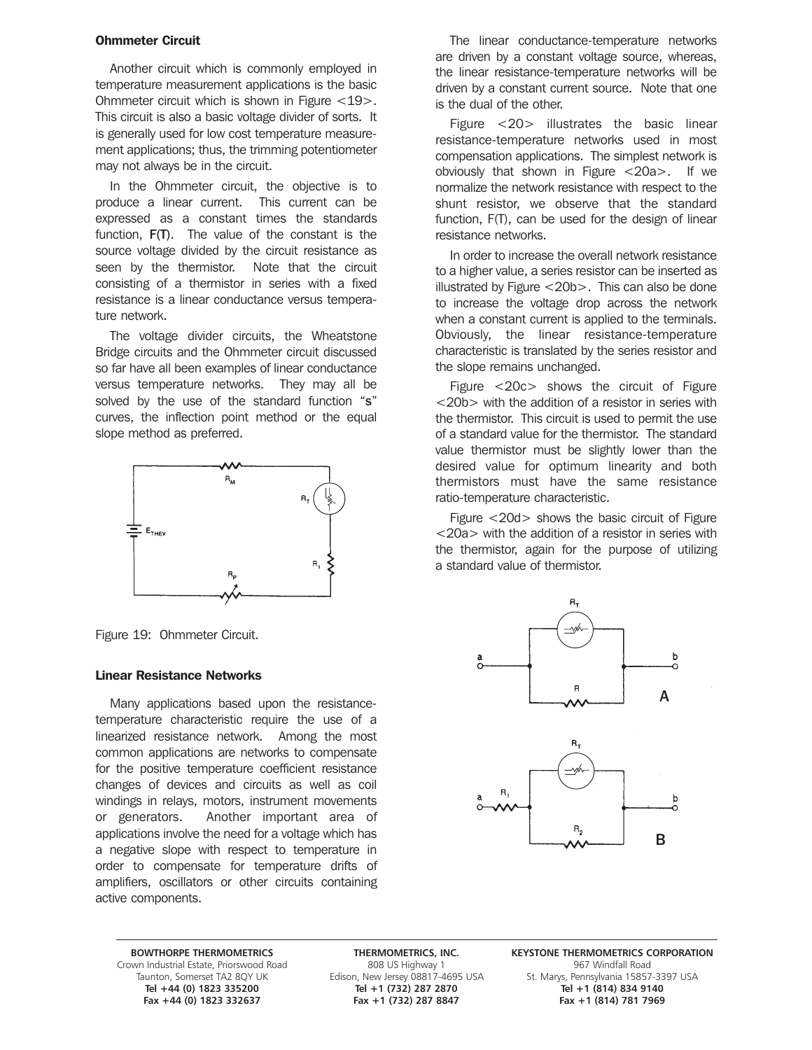### Ohmmeter Circuit

Another circuit which is commonly employed in temperature measurement applications is the basic Ohmmeter circuit which is shown in Figure <19>. This circuit is also a basic voltage divider of sorts. It is generally used for low cost temperature measurement applications; thus, the trimming potentiometer may not always be in the circuit.

In the Ohmmeter circuit, the objective is to produce a linear current. This current can be expressed as a constant times the standards function, F(T). The value of the constant is the source voltage divided by the circuit resistance as seen by the thermistor. Note that the circuit consisting of a thermistor in series with a fixed resistance is a linear conductance versus temperature network.

The voltage divider circuits, the Wheatstone Bridge circuits and the Ohmmeter circuit discussed so far have all been examples of linear conductance versus temperature networks. They may all be solved by the use of the standard function "s" curves, the inflection point method or the equal slope method as preferred.



Figure 19: Ohmmeter Circuit.

### Linear Resistance Networks

Many applications based upon the resistancetemperature characteristic require the use of a linearized resistance network. Among the most common applications are networks to compensate for the positive temperature coefficient resistance changes of devices and circuits as well as coil windings in relays, motors, instrument movements or generators. Another important area of applications involve the need for a voltage which has a negative slope with respect to temperature in order to compensate for temperature drifts of amplifiers, oscillators or other circuits containing active components.

The linear conductance-temperature networks are driven by a constant voltage source, whereas, the linear resistance-temperature networks will be driven by a constant current source. Note that one is the dual of the other.

Figure <20> illustrates the basic linear resistance-temperature networks used in most compensation applications. The simplest network is obviously that shown in Figure <20a>. If we normalize the network resistance with respect to the shunt resistor, we observe that the standard function, F(T), can be used for the design of linear resistance networks.

In order to increase the overall network resistance to a higher value, a series resistor can be inserted as illustrated by Figure <20b>. This can also be done to increase the voltage drop across the network when a constant current is applied to the terminals. Obviously, the linear resistance-temperature characteristic is translated by the series resistor and the slope remains unchanged.

Figure <20c> shows the circuit of Figure <20b> with the addition of a resistor in series with the thermistor. This circuit is used to permit the use of a standard value for the thermistor. The standard value thermistor must be slightly lower than the desired value for optimum linearity and both thermistors must have the same resistance ratio-temperature characteristic.

Figure <20d> shows the basic circuit of Figure <20a> with the addition of a resistor in series with the thermistor, again for the purpose of utilizing a standard value of thermistor.



Grown Industrial Estate, Priorswood Road 808 US Highway 1 967 Windfall Road 808 US Highway 1 967 Windfall Road<br>Taunton, Somerset TA2 8QY UK Edison, New Jersey 08817-4695 USA 5t. Marys, Pennsylvania 15857 **Fax +44 (0) 1823 332637 Fax +1 (732) 287 8847 Fax +1 (814) 781 7969**

**Tel +44 (0) 1823 335200 Tel +1 (732) 287 2870 Tel +1 (814) 834 9140**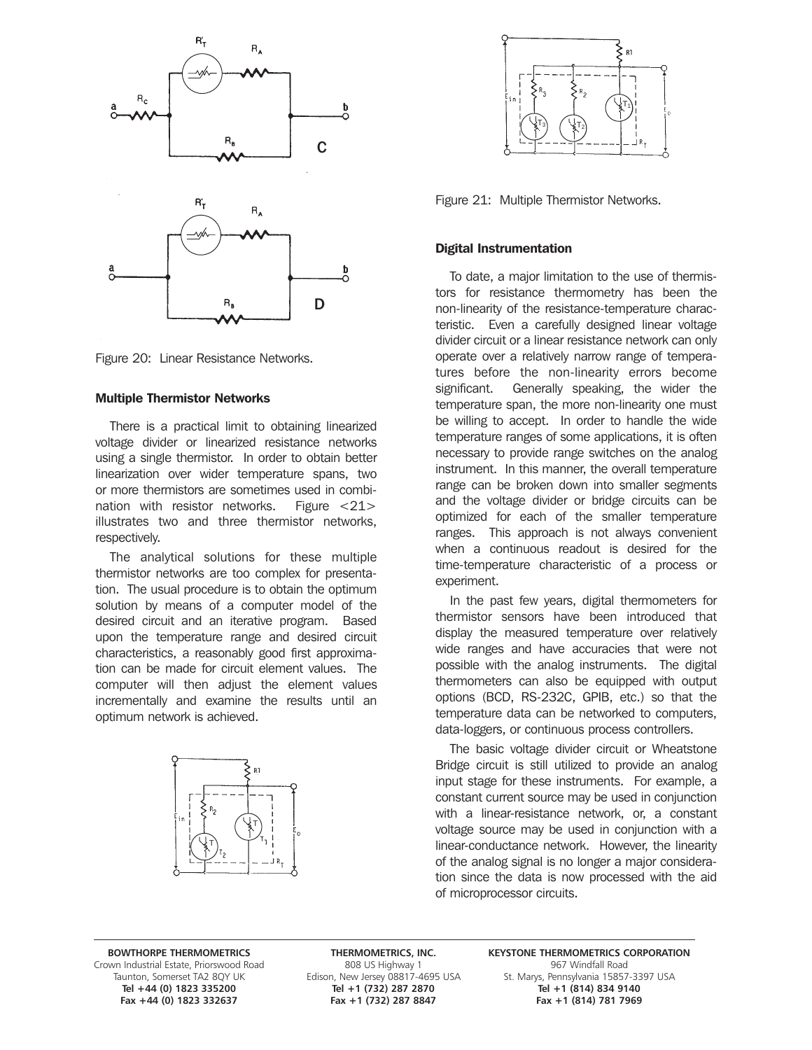

Figure 20: Linear Resistance Networks.

### Multiple Thermistor Networks

There is a practical limit to obtaining linearized voltage divider or linearized resistance networks using a single thermistor. In order to obtain better linearization over wider temperature spans, two or more thermistors are sometimes used in combination with resistor networks. Figure <21> illustrates two and three thermistor networks, respectively.

The analytical solutions for these multiple thermistor networks are too complex for presentation. The usual procedure is to obtain the optimum solution by means of a computer model of the desired circuit and an iterative program. Based upon the temperature range and desired circuit characteristics, a reasonably good first approximation can be made for circuit element values. The computer will then adjust the element values incrementally and examine the results until an optimum network is achieved.





Figure 21: Multiple Thermistor Networks.

### Digital Instrumentation

To date, a major limitation to the use of thermistors for resistance thermometry has been the non-linearity of the resistance-temperature characteristic. Even a carefully designed linear voltage divider circuit or a linear resistance network can only operate over a relatively narrow range of temperatures before the non-linearity errors become significant. Generally speaking, the wider the temperature span, the more non-linearity one must be willing to accept. In order to handle the wide temperature ranges of some applications, it is often necessary to provide range switches on the analog instrument. In this manner, the overall temperature range can be broken down into smaller segments and the voltage divider or bridge circuits can be optimized for each of the smaller temperature ranges. This approach is not always convenient when a continuous readout is desired for the time-temperature characteristic of a process or experiment.

In the past few years, digital thermometers for thermistor sensors have been introduced that display the measured temperature over relatively wide ranges and have accuracies that were not possible with the analog instruments. The digital thermometers can also be equipped with output options (BCD, RS-232C, GPIB, etc.) so that the temperature data can be networked to computers, data-loggers, or continuous process controllers.

The basic voltage divider circuit or Wheatstone Bridge circuit is still utilized to provide an analog input stage for these instruments. For example, a constant current source may be used in conjunction with a linear-resistance network, or, a constant voltage source may be used in conjunction with a linear-conductance network. However, the linearity of the analog signal is no longer a major consideration since the data is now processed with the aid of microprocessor circuits.

Grown Industrial Estate, Priorswood Road 808 US Highway 1 967 Windfall Road 808 US Highway 1 967 Windfall Road<br>Taunton, Somerset TA2 8QY UK Edison, New Jersey 08817-4695 USA 5t. Marys, Pennsylvania 15857 Fax +44 (0) 1823 332637

**Tel +44 (0) 1823 335200 Tel +1 (732) 287 2870 Tel +1 (814) 834 9140**

**BOWTHORPE THERMOMETRICS THERMOMETRICS, INC. KEYSTONE THERMOMETRICS CORPORATION** n, New Jersey 08817-4695 USA St. Marys, Pennsylvania 15857-3397 USA<br>Tel +1 (732) 287 2870 Tel +1 (814) 834 9140